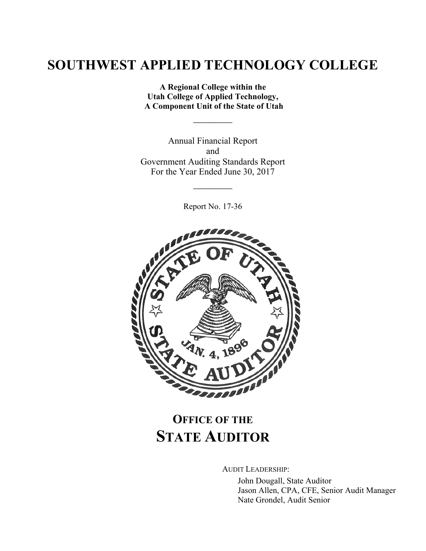**A Regional College within the Utah College of Applied Technology, A Component Unit of the State of Utah**

 $\frac{1}{2}$ 

Annual Financial Report and Government Auditing Standards Report For the Year Ended June 30, 2017

Report No. 17-36

 $\frac{1}{2}$ 



# **OFFICE OF THE STATE AUDITOR**

AUDIT LEADERSHIP:

John Dougall, State Auditor Jason Allen, CPA, CFE, Senior Audit Manager Nate Grondel, Audit Senior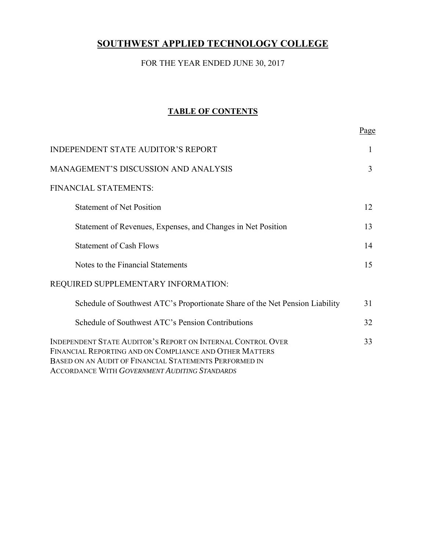### FOR THE YEAR ENDED JUNE 30, 2017

### **TABLE OF CONTENTS**

Page

| <b>INDEPENDENT STATE AUDITOR'S REPORT</b>                                                                                                                                                                                                | 1  |
|------------------------------------------------------------------------------------------------------------------------------------------------------------------------------------------------------------------------------------------|----|
| <b>MANAGEMENT'S DISCUSSION AND ANALYSIS</b>                                                                                                                                                                                              | 3  |
| FINANCIAL STATEMENTS:                                                                                                                                                                                                                    |    |
| <b>Statement of Net Position</b>                                                                                                                                                                                                         | 12 |
| Statement of Revenues, Expenses, and Changes in Net Position                                                                                                                                                                             | 13 |
| <b>Statement of Cash Flows</b>                                                                                                                                                                                                           | 14 |
| Notes to the Financial Statements                                                                                                                                                                                                        | 15 |
| REQUIRED SUPPLEMENTARY INFORMATION:                                                                                                                                                                                                      |    |
| Schedule of Southwest ATC's Proportionate Share of the Net Pension Liability                                                                                                                                                             | 31 |
| Schedule of Southwest ATC's Pension Contributions                                                                                                                                                                                        | 32 |
| INDEPENDENT STATE AUDITOR'S REPORT ON INTERNAL CONTROL OVER<br>FINANCIAL REPORTING AND ON COMPLIANCE AND OTHER MATTERS<br>BASED ON AN AUDIT OF FINANCIAL STATEMENTS PERFORMED IN<br><b>ACCORDANCE WITH GOVERNMENT AUDITING STANDARDS</b> | 33 |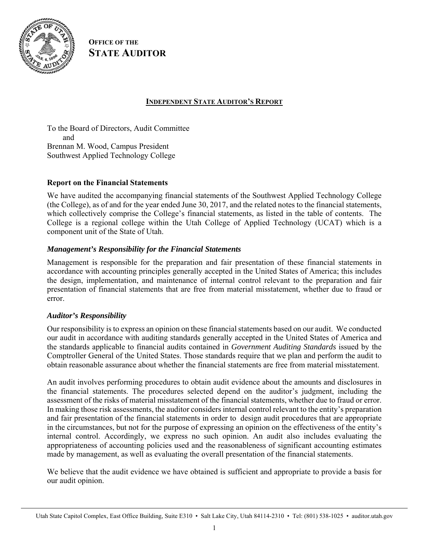

**OFFICE OF THE STATE AUDITOR**

#### **INDEPENDENT STATE AUDITOR'S REPORT**

To the Board of Directors, Audit Committee and Brennan M. Wood, Campus President Southwest Applied Technology College

#### **Report on the Financial Statements**

We have audited the accompanying financial statements of the Southwest Applied Technology College (the College), as of and for the year ended June 30, 2017, and the related notes to the financial statements, which collectively comprise the College's financial statements, as listed in the table of contents. The College is a regional college within the Utah College of Applied Technology (UCAT) which is a component unit of the State of Utah.

#### *Management's Responsibility for the Financial Statements*

Management is responsible for the preparation and fair presentation of these financial statements in accordance with accounting principles generally accepted in the United States of America; this includes the design, implementation, and maintenance of internal control relevant to the preparation and fair presentation of financial statements that are free from material misstatement, whether due to fraud or error.

#### *Auditor's Responsibility*

Our responsibility is to express an opinion on these financial statements based on our audit. We conducted our audit in accordance with auditing standards generally accepted in the United States of America and the standards applicable to financial audits contained in *Government Auditing Standards* issued by the Comptroller General of the United States. Those standards require that we plan and perform the audit to obtain reasonable assurance about whether the financial statements are free from material misstatement.

An audit involves performing procedures to obtain audit evidence about the amounts and disclosures in the financial statements. The procedures selected depend on the auditor's judgment, including the assessment of the risks of material misstatement of the financial statements, whether due to fraud or error. In making those risk assessments, the auditor considers internal control relevant to the entity's preparation and fair presentation of the financial statements in order to design audit procedures that are appropriate in the circumstances, but not for the purpose of expressing an opinion on the effectiveness of the entity's internal control. Accordingly, we express no such opinion. An audit also includes evaluating the appropriateness of accounting policies used and the reasonableness of significant accounting estimates made by management, as well as evaluating the overall presentation of the financial statements.

We believe that the audit evidence we have obtained is sufficient and appropriate to provide a basis for our audit opinion.

Utah State Capitol Complex, East Office Building, Suite E310 • Salt Lake City, Utah 84114-2310 • Tel: (801) 538-1025 • auditor.utah.gov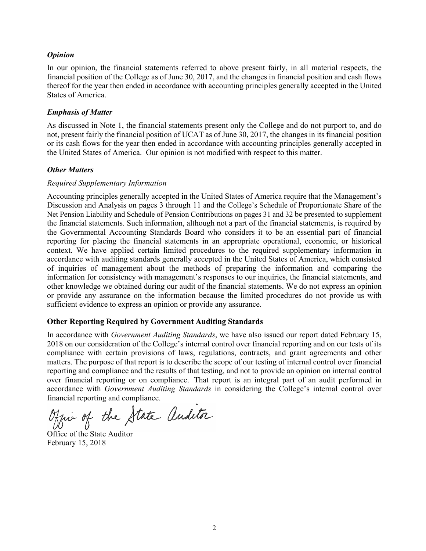#### *Opinion*

In our opinion, the financial statements referred to above present fairly, in all material respects, the financial position of the College as of June 30, 2017, and the changes in financial position and cash flows thereof for the year then ended in accordance with accounting principles generally accepted in the United States of America.

#### *Emphasis of Matter*

As discussed in Note 1, the financial statements present only the College and do not purport to, and do not, present fairly the financial position of UCAT as of June 30, 2017, the changes in its financial position or its cash flows for the year then ended in accordance with accounting principles generally accepted in the United States of America. Our opinion is not modified with respect to this matter.

#### *Other Matters*

#### *Required Supplementary Information*

Accounting principles generally accepted in the United States of America require that the Management's Discussion and Analysis on pages 3 through 11 and the College's Schedule of Proportionate Share of the Net Pension Liability and Schedule of Pension Contributions on pages 31 and 32 be presented to supplement the financial statements. Such information, although not a part of the financial statements, is required by the Governmental Accounting Standards Board who considers it to be an essential part of financial reporting for placing the financial statements in an appropriate operational, economic, or historical context. We have applied certain limited procedures to the required supplementary information in accordance with auditing standards generally accepted in the United States of America, which consisted of inquiries of management about the methods of preparing the information and comparing the information for consistency with management's responses to our inquiries, the financial statements, and other knowledge we obtained during our audit of the financial statements. We do not express an opinion or provide any assurance on the information because the limited procedures do not provide us with sufficient evidence to express an opinion or provide any assurance.

#### **Other Reporting Required by Government Auditing Standards**

In accordance with *Government Auditing Standards*, we have also issued our report dated February 15, 2018 on our consideration of the College's internal control over financial reporting and on our tests of its compliance with certain provisions of laws, regulations, contracts, and grant agreements and other matters. The purpose of that report is to describe the scope of our testing of internal control over financial reporting and compliance and the results of that testing, and not to provide an opinion on internal control over financial reporting or on compliance. That report is an integral part of an audit performed in accordance with *Government Auditing Standards* in considering the College's internal control over financial reporting and compliance.

Office of the State Auditor

February 15, 2018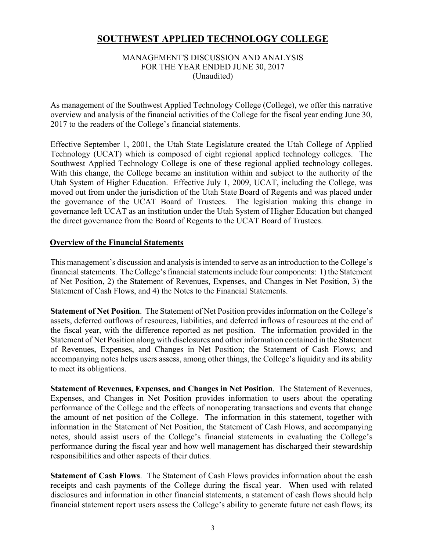#### MANAGEMENT'S DISCUSSION AND ANALYSIS FOR THE YEAR ENDED JUNE 30, 2017 (Unaudited)

As management of the Southwest Applied Technology College (College), we offer this narrative overview and analysis of the financial activities of the College for the fiscal year ending June 30, 2017 to the readers of the College's financial statements.

Effective September 1, 2001, the Utah State Legislature created the Utah College of Applied Technology (UCAT) which is composed of eight regional applied technology colleges. The Southwest Applied Technology College is one of these regional applied technology colleges. With this change, the College became an institution within and subject to the authority of the Utah System of Higher Education. Effective July 1, 2009, UCAT, including the College, was moved out from under the jurisdiction of the Utah State Board of Regents and was placed under the governance of the UCAT Board of Trustees. The legislation making this change in governance left UCAT as an institution under the Utah System of Higher Education but changed the direct governance from the Board of Regents to the UCAT Board of Trustees.

#### **Overview of the Financial Statements**

This management's discussion and analysis is intended to serve as an introduction to the College's financial statements. The College's financial statements include four components: 1) the Statement of Net Position, 2) the Statement of Revenues, Expenses, and Changes in Net Position, 3) the Statement of Cash Flows, and 4) the Notes to the Financial Statements.

**Statement of Net Position**. The Statement of Net Position provides information on the College's assets, deferred outflows of resources, liabilities, and deferred inflows of resources at the end of the fiscal year, with the difference reported as net position. The information provided in the Statement of Net Position along with disclosures and other information contained in the Statement of Revenues, Expenses, and Changes in Net Position; the Statement of Cash Flows; and accompanying notes helps users assess, among other things, the College's liquidity and its ability to meet its obligations.

**Statement of Revenues, Expenses, and Changes in Net Position**. The Statement of Revenues, Expenses, and Changes in Net Position provides information to users about the operating performance of the College and the effects of nonoperating transactions and events that change the amount of net position of the College. The information in this statement, together with information in the Statement of Net Position, the Statement of Cash Flows, and accompanying notes, should assist users of the College's financial statements in evaluating the College's performance during the fiscal year and how well management has discharged their stewardship responsibilities and other aspects of their duties.

**Statement of Cash Flows**. The Statement of Cash Flows provides information about the cash receipts and cash payments of the College during the fiscal year. When used with related disclosures and information in other financial statements, a statement of cash flows should help financial statement report users assess the College's ability to generate future net cash flows; its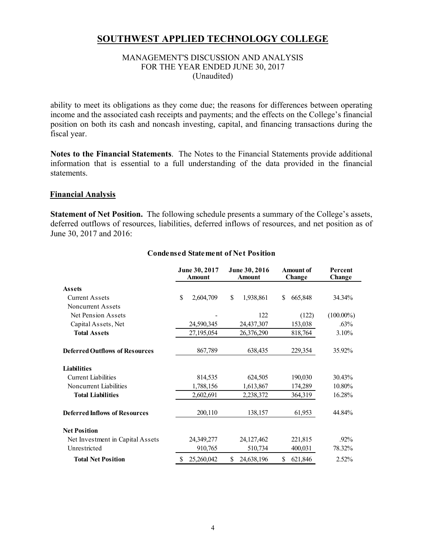#### MANAGEMENT'S DISCUSSION AND ANALYSIS FOR THE YEAR ENDED JUNE 30, 2017 (Unaudited)

ability to meet its obligations as they come due; the reasons for differences between operating income and the associated cash receipts and payments; and the effects on the College's financial position on both its cash and noncash investing, capital, and financing transactions during the fiscal year.

**Notes to the Financial Statements**. The Notes to the Financial Statements provide additional information that is essential to a full understanding of the data provided in the financial statements.

#### **Financial Analysis**

**Statement of Net Position.** The following schedule presents a summary of the College's assets, deferred outflows of resources, liabilities, deferred inflows of resources, and net position as of June 30, 2017 and 2016:

|                                       | June 30, 2017<br><b>Amount</b> | June 30, 2016<br><b>Amount</b> | <b>Amount of</b><br>Change | Percent<br>Change |  |
|---------------------------------------|--------------------------------|--------------------------------|----------------------------|-------------------|--|
| <b>Assets</b>                         |                                |                                |                            |                   |  |
| <b>Current Assets</b>                 | \$<br>2,604,709                | \$<br>1,938,861                | \$<br>665,848              | 34.34%            |  |
| Noncurrent Assets                     |                                |                                |                            |                   |  |
| Net Pension Assets                    |                                | 122                            | (122)                      | $(100.00\%)$      |  |
| Capital Assets, Net                   | 24,590,345                     | 24,437,307                     | 153,038                    | $.63\%$           |  |
| <b>Total Assets</b>                   | 27,195,054                     | 26,376,290                     | 818,764                    | 3.10%             |  |
| <b>Deferred Outflows of Resources</b> | 867,789                        | 638,435                        | 229,354                    | 35.92%            |  |
| <b>Liabilities</b>                    |                                |                                |                            |                   |  |
| Current Liabilities                   | 814,535                        | 624,505                        | 190,030                    | 30.43%            |  |
| Noncurrent Liabilities                | 1,788,156                      | 1,613,867                      | 174,289                    | 10.80%            |  |
| <b>Total Liabilities</b>              | 2,602,691                      | 2,238,372                      | 364,319                    | 16.28%            |  |
| <b>Deferred Inflows of Resources</b>  | 200,110                        | 138,157                        | 61,953                     | 44.84%            |  |
| <b>Net Position</b>                   |                                |                                |                            |                   |  |
| Net Investment in Capital Assets      | 24,349,277                     | 24, 127, 462                   | 221,815                    | .92%              |  |
| Unrestricted                          | 910,765                        | 510,734                        | 400,031                    | 78.32%            |  |
| <b>Total Net Position</b>             | \$<br>25,260,042               | \$<br>24,638,196               | \$<br>621,846              | $2.52\%$          |  |

#### **Condensed Statement of Net Position**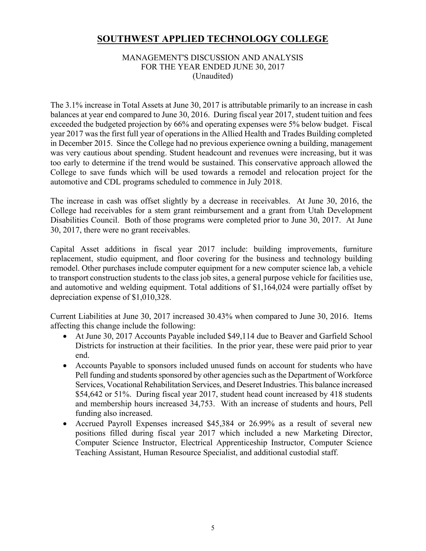#### MANAGEMENT'S DISCUSSION AND ANALYSIS FOR THE YEAR ENDED JUNE 30, 2017 (Unaudited)

The 3.1% increase in Total Assets at June 30, 2017 is attributable primarily to an increase in cash balances at year end compared to June 30, 2016. During fiscal year 2017, student tuition and fees exceeded the budgeted projection by 66% and operating expenses were 5% below budget. Fiscal year 2017 was the first full year of operations in the Allied Health and Trades Building completed in December 2015. Since the College had no previous experience owning a building, management was very cautious about spending. Student headcount and revenues were increasing, but it was too early to determine if the trend would be sustained. This conservative approach allowed the College to save funds which will be used towards a remodel and relocation project for the automotive and CDL programs scheduled to commence in July 2018.

The increase in cash was offset slightly by a decrease in receivables. At June 30, 2016, the College had receivables for a stem grant reimbursement and a grant from Utah Development Disabilities Council. Both of those programs were completed prior to June 30, 2017. At June 30, 2017, there were no grant receivables.

Capital Asset additions in fiscal year 2017 include: building improvements, furniture replacement, studio equipment, and floor covering for the business and technology building remodel. Other purchases include computer equipment for a new computer science lab, a vehicle to transport construction students to the class job sites, a general purpose vehicle for facilities use, and automotive and welding equipment. Total additions of \$1,164,024 were partially offset by depreciation expense of \$1,010,328.

Current Liabilities at June 30, 2017 increased 30.43% when compared to June 30, 2016. Items affecting this change include the following:

- At June 30, 2017 Accounts Payable included \$49,114 due to Beaver and Garfield School Districts for instruction at their facilities. In the prior year, these were paid prior to year end.
- Accounts Payable to sponsors included unused funds on account for students who have Pell funding and students sponsored by other agencies such as the Department of Workforce Services, Vocational Rehabilitation Services, and Deseret Industries. This balance increased \$54,642 or 51%. During fiscal year 2017, student head count increased by 418 students and membership hours increased 34,753. With an increase of students and hours, Pell funding also increased.
- Accrued Payroll Expenses increased \$45,384 or 26.99% as a result of several new positions filled during fiscal year 2017 which included a new Marketing Director, Computer Science Instructor, Electrical Apprenticeship Instructor, Computer Science Teaching Assistant, Human Resource Specialist, and additional custodial staff.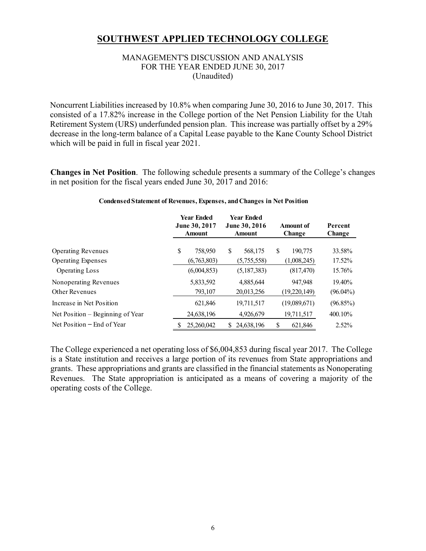#### MANAGEMENT'S DISCUSSION AND ANALYSIS FOR THE YEAR ENDED JUNE 30, 2017 (Unaudited)

Noncurrent Liabilities increased by 10.8% when comparing June 30, 2016 to June 30, 2017. This consisted of a 17.82% increase in the College portion of the Net Pension Liability for the Utah Retirement System (URS) underfunded pension plan. This increase was partially offset by a 29% decrease in the long-term balance of a Capital Lease payable to the Kane County School District which will be paid in full in fiscal year 2021.

**Changes in Net Position**. The following schedule presents a summary of the College's changes in net position for the fiscal years ended June 30, 2017 and 2016:

|                                  |    | <b>Year Ended</b><br><b>June 30, 2017</b><br><b>Amount</b> |   | <b>Year Ended</b><br><b>June 30, 2016</b><br><b>Amount</b> | Amount of<br>Change |              | Percent<br>Change |  |
|----------------------------------|----|------------------------------------------------------------|---|------------------------------------------------------------|---------------------|--------------|-------------------|--|
| <b>Operating Revenues</b>        | \$ | 758,950                                                    | S | 568,175                                                    | \$                  | 190,775      | 33.58%            |  |
| <b>Operating Expenses</b>        |    | (6,763,803)                                                |   | (5,755,558)                                                |                     | (1,008,245)  | 17.52%            |  |
| <b>Operating Loss</b>            |    | (6,004,853)                                                |   | (5,187,383)                                                |                     | (817, 470)   | 15.76%            |  |
| Nonoperating Revenues            |    | 5,833,592                                                  |   | 4,885,644                                                  |                     | 947.948      | 19.40%            |  |
| <b>Other Revenues</b>            |    | 793,107                                                    |   | 20,013,256                                                 |                     | (19,220,149) | $(96.04\%)$       |  |
| Increase in Net Position         |    | 621,846                                                    |   | 19,711,517                                                 |                     | (19,089,671) | (96.85%)          |  |
| Net Position – Beginning of Year |    | 24,638,196                                                 |   | 4,926,679                                                  |                     | 19,711,517   | 400.10%           |  |
| Net Position – End of Year       | S  | 25,260,042                                                 |   | 24,638,196                                                 | \$                  | 621.846      | $2.52\%$          |  |

#### **Condensed Statement of Revenues, Expenses, and Changes in Net Position**

The College experienced a net operating loss of \$6,004,853 during fiscal year 2017. The College is a State institution and receives a large portion of its revenues from State appropriations and grants. These appropriations and grants are classified in the financial statements as Nonoperating Revenues. The State appropriation is anticipated as a means of covering a majority of the operating costs of the College.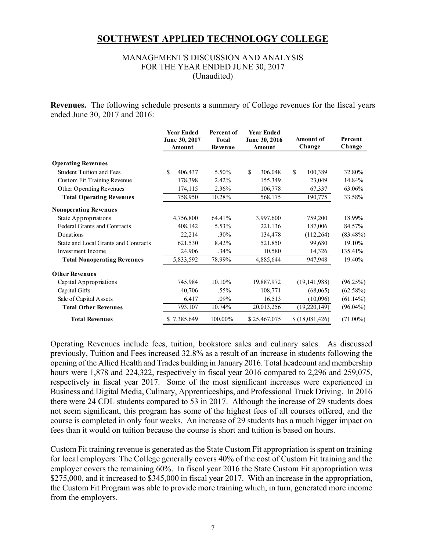#### MANAGEMENT'S DISCUSSION AND ANALYSIS FOR THE YEAR ENDED JUNE 30, 2017 (Unaudited)

**Revenues.** The following schedule presents a summary of College revenues for the fiscal years ended June 30, 2017 and 2016:

|                                      | <b>Year Ended</b><br>June 30, 2017<br>Amount | <b>Percent</b> of<br><b>Total</b><br>Revenue | <b>Year Ended</b><br>June 30, 2016<br>Amount | <b>Amount of</b><br>Change | Percent<br>Change |
|--------------------------------------|----------------------------------------------|----------------------------------------------|----------------------------------------------|----------------------------|-------------------|
| <b>Operating Revenues</b>            |                                              |                                              |                                              |                            |                   |
| <b>Student Tuition and Fees</b>      | \$<br>406,437                                | 5.50%                                        | \$<br>306,048                                | $\mathbf S$<br>100,389     | 32.80%            |
| <b>Custom Fit Training Revenue</b>   | 178,398                                      | 2.42%                                        | 155,349                                      | 23,049                     | 14.84%            |
| Other Operating Revenues             | 174,115                                      | 2.36%                                        | 106,778                                      | 67,337                     | 63.06%            |
| <b>Total Operating Revenues</b>      | 758,950                                      | 10.28%                                       | 568,175                                      | 190,775                    | 33.58%            |
| <b>Nonoperating Revenues</b>         |                                              |                                              |                                              |                            |                   |
| State Appropriations                 | 4,756,800                                    | 64.41%                                       | 3,997,600                                    | 759,200                    | 18.99%            |
| <b>Federal Grants and Contracts</b>  | 408,142                                      | 5.53%                                        | 221,136                                      | 187,006                    | 84.57%            |
| Donations                            | 22,214                                       | $.30\%$                                      | 134,478                                      | (112, 264)                 | $(83.48\%)$       |
| State and Local Grants and Contracts | 621,530                                      | 8.42%                                        | 521,850                                      | 99,680                     | 19.10%            |
| Investment Income                    | 24,906                                       | .34%                                         | 10,580                                       | 14,326                     | 135.41%           |
| <b>Total Nonoperating Revenues</b>   | 5,833,592                                    | 78.99%                                       | 4,885,644                                    | 947,948                    | 19.40%            |
| <b>Other Revenues</b>                |                                              |                                              |                                              |                            |                   |
| Capital Appropriations               | 745,984                                      | 10.10%                                       | 19,887,972                                   | (19, 141, 988)             | (96.25%)          |
| Capital Gifts                        | 40,706                                       | $.55\%$                                      | 108,771                                      | (68,065)                   | (62.58%)          |
| Sale of Capital Assets               | 6,417                                        | .09%                                         | 16,513                                       | (10,096)                   | $(61.14\%)$       |
| <b>Total Other Revenues</b>          | 793,107                                      | 10.74%                                       | 20,013,256                                   | (19,220,149)               | $(96.04\%)$       |
| <b>Total Revenues</b>                | 7,385,649                                    | 100.00%                                      | \$25,467,075                                 | \$(18,081,426)             | $(71.00\%)$       |

Operating Revenues include fees, tuition, bookstore sales and culinary sales. As discussed previously, Tuition and Fees increased 32.8% as a result of an increase in students following the opening of the Allied Health and Trades building in January 2016. Total headcount and membership hours were 1,878 and 224,322, respectively in fiscal year 2016 compared to 2,296 and 259,075, respectively in fiscal year 2017. Some of the most significant increases were experienced in Business and Digital Media, Culinary, Apprenticeships, and Professional Truck Driving. In 2016 there were 24 CDL students compared to 53 in 2017. Although the increase of 29 students does not seem significant, this program has some of the highest fees of all courses offered, and the course is completed in only four weeks. An increase of 29 students has a much bigger impact on fees than it would on tuition because the course is short and tuition is based on hours.

Custom Fit training revenue is generated as the State Custom Fit appropriation is spent on training for local employers. The College generally covers 40% of the cost of Custom Fit training and the employer covers the remaining 60%. In fiscal year 2016 the State Custom Fit appropriation was \$275,000, and it increased to \$345,000 in fiscal year 2017. With an increase in the appropriation, the Custom Fit Program was able to provide more training which, in turn, generated more income from the employers.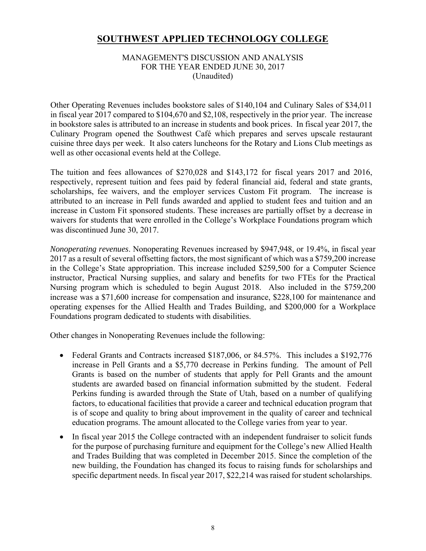#### MANAGEMENT'S DISCUSSION AND ANALYSIS FOR THE YEAR ENDED JUNE 30, 2017 (Unaudited)

Other Operating Revenues includes bookstore sales of \$140,104 and Culinary Sales of \$34,011 in fiscal year 2017 compared to \$104,670 and \$2,108, respectively in the prior year. The increase in bookstore sales is attributed to an increase in students and book prices. In fiscal year 2017, the Culinary Program opened the Southwest Café which prepares and serves upscale restaurant cuisine three days per week. It also caters luncheons for the Rotary and Lions Club meetings as well as other occasional events held at the College.

The tuition and fees allowances of \$270,028 and \$143,172 for fiscal years 2017 and 2016, respectively, represent tuition and fees paid by federal financial aid, federal and state grants, scholarships, fee waivers, and the employer services Custom Fit program. The increase is attributed to an increase in Pell funds awarded and applied to student fees and tuition and an increase in Custom Fit sponsored students. These increases are partially offset by a decrease in waivers for students that were enrolled in the College's Workplace Foundations program which was discontinued June 30, 2017.

*Nonoperating revenues*. Nonoperating Revenues increased by \$947,948, or 19.4%, in fiscal year 2017 as a result of several offsetting factors, the most significant of which was a \$759,200 increase in the College's State appropriation. This increase included \$259,500 for a Computer Science instructor, Practical Nursing supplies, and salary and benefits for two FTEs for the Practical Nursing program which is scheduled to begin August 2018. Also included in the \$759,200 increase was a \$71,600 increase for compensation and insurance, \$228,100 for maintenance and operating expenses for the Allied Health and Trades Building, and \$200,000 for a Workplace Foundations program dedicated to students with disabilities.

Other changes in Nonoperating Revenues include the following:

- Federal Grants and Contracts increased \$187,006, or 84.57%. This includes a \$192,776 increase in Pell Grants and a \$5,770 decrease in Perkins funding. The amount of Pell Grants is based on the number of students that apply for Pell Grants and the amount students are awarded based on financial information submitted by the student. Federal Perkins funding is awarded through the State of Utah, based on a number of qualifying factors, to educational facilities that provide a career and technical education program that is of scope and quality to bring about improvement in the quality of career and technical education programs. The amount allocated to the College varies from year to year.
- In fiscal year 2015 the College contracted with an independent fundraiser to solicit funds for the purpose of purchasing furniture and equipment for the College's new Allied Health and Trades Building that was completed in December 2015. Since the completion of the new building, the Foundation has changed its focus to raising funds for scholarships and specific department needs. In fiscal year 2017, \$22,214 was raised for student scholarships.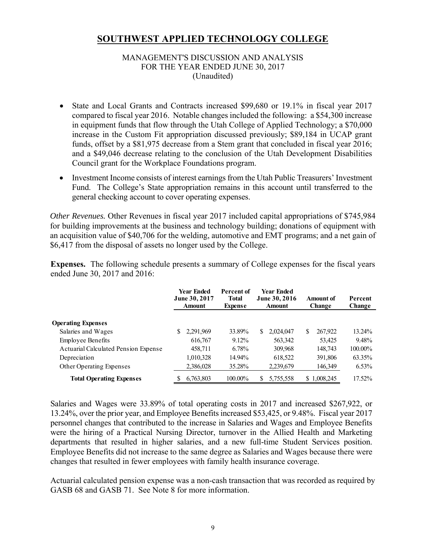#### MANAGEMENT'S DISCUSSION AND ANALYSIS FOR THE YEAR ENDED JUNE 30, 2017 (Unaudited)

- State and Local Grants and Contracts increased \$99,680 or 19.1% in fiscal year 2017 compared to fiscal year 2016. Notable changes included the following: a \$54,300 increase in equipment funds that flow through the Utah College of Applied Technology; a \$70,000 increase in the Custom Fit appropriation discussed previously; \$89,184 in UCAP grant funds, offset by a \$81,975 decrease from a Stem grant that concluded in fiscal year 2016; and a \$49,046 decrease relating to the conclusion of the Utah Development Disabilities Council grant for the Workplace Foundations program.
- Investment Income consists of interest earnings from the Utah Public Treasurers' Investment Fund. The College's State appropriation remains in this account until transferred to the general checking account to cover operating expenses.

*Other Revenues.* Other Revenues in fiscal year 2017 included capital appropriations of \$745,984 for building improvements at the business and technology building; donations of equipment with an acquisition value of \$40,706 for the welding, automotive and EMT programs; and a net gain of \$6,417 from the disposal of assets no longer used by the College.

**Expenses.** The following schedule presents a summary of College expenses for the fiscal years ended June 30, 2017 and 2016:

|                                      |   | <b>Year Ended</b><br>June 30, 2017<br><b>Amount</b> | Percent of<br><b>Total</b><br><b>Expense</b> |   | Year Fnded<br><b>June 30, 2016</b><br>Amount | Amount of<br><b>Change</b> | Percent<br>Change |
|--------------------------------------|---|-----------------------------------------------------|----------------------------------------------|---|----------------------------------------------|----------------------------|-------------------|
| <b>Operating Expenses</b>            |   |                                                     |                                              |   |                                              |                            |                   |
| Salaries and Wages                   | S | 2,291,969                                           | 33.89%                                       | S | 2,024,047                                    | \$<br>267,922              | 13.24%            |
|                                      |   |                                                     |                                              |   |                                              |                            |                   |
| <b>Employee Benefits</b>             |   | 616,767                                             | $9.12\%$                                     |   | 563,342                                      | 53,425                     | 9.48%             |
| Actuarial Calculated Pension Expense |   | 458,711                                             | 6.78%                                        |   | 309,968                                      | 148,743                    | 100.00%           |
| Depreciation                         |   | 1,010,328                                           | 14.94%                                       |   | 618,522                                      | 391,806                    | 63.35%            |
| Other Operating Expenses             |   | 2,386,028                                           | 35.28%                                       |   | 2,239,679                                    | 146,349                    | $6.53\%$          |
| <b>Total Operating Expenses</b>      |   | 6,763,803                                           | 100.00%                                      | S | 5,755,558                                    | \$1,008,245                | $17.52\%$         |

Salaries and Wages were 33.89% of total operating costs in 2017 and increased \$267,922, or 13.24%, over the prior year, and Employee Benefits increased \$53,425, or 9.48%. Fiscal year 2017 personnel changes that contributed to the increase in Salaries and Wages and Employee Benefits were the hiring of a Practical Nursing Director, turnover in the Allied Health and Marketing departments that resulted in higher salaries, and a new full-time Student Services position. Employee Benefits did not increase to the same degree as Salaries and Wages because there were changes that resulted in fewer employees with family health insurance coverage.

Actuarial calculated pension expense was a non-cash transaction that was recorded as required by GASB 68 and GASB 71. See Note 8 for more information.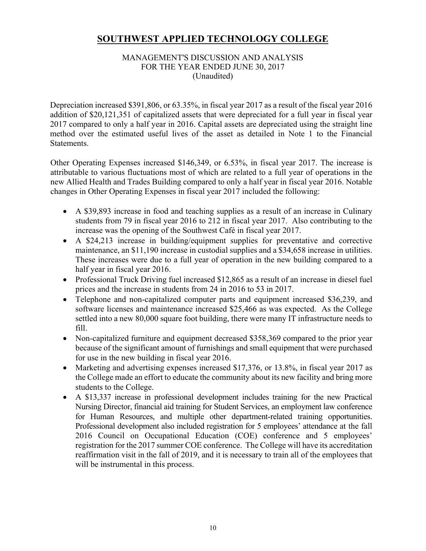#### MANAGEMENT'S DISCUSSION AND ANALYSIS FOR THE YEAR ENDED JUNE 30, 2017 (Unaudited)

Depreciation increased \$391,806, or 63.35%, in fiscal year 2017 as a result of the fiscal year 2016 addition of \$20,121,351 of capitalized assets that were depreciated for a full year in fiscal year 2017 compared to only a half year in 2016. Capital assets are depreciated using the straight line method over the estimated useful lives of the asset as detailed in Note 1 to the Financial Statements.

Other Operating Expenses increased \$146,349, or 6.53%, in fiscal year 2017. The increase is attributable to various fluctuations most of which are related to a full year of operations in the new Allied Health and Trades Building compared to only a half year in fiscal year 2016. Notable changes in Other Operating Expenses in fiscal year 2017 included the following:

- A \$39,893 increase in food and teaching supplies as a result of an increase in Culinary students from 79 in fiscal year 2016 to 212 in fiscal year 2017. Also contributing to the increase was the opening of the Southwest Café in fiscal year 2017.
- A \$24,213 increase in building/equipment supplies for preventative and corrective maintenance, an \$11,190 increase in custodial supplies and a \$34,658 increase in utilities. These increases were due to a full year of operation in the new building compared to a half year in fiscal year 2016.
- Professional Truck Driving fuel increased \$12,865 as a result of an increase in diesel fuel prices and the increase in students from 24 in 2016 to 53 in 2017.
- Telephone and non-capitalized computer parts and equipment increased \$36,239, and software licenses and maintenance increased \$25,466 as was expected. As the College settled into a new 80,000 square foot building, there were many IT infrastructure needs to fill.
- Non-capitalized furniture and equipment decreased \$358,369 compared to the prior year because of the significant amount of furnishings and small equipment that were purchased for use in the new building in fiscal year 2016.
- Marketing and advertising expenses increased \$17,376, or 13.8%, in fiscal year 2017 as the College made an effort to educate the community about its new facility and bring more students to the College.
- A \$13,337 increase in professional development includes training for the new Practical Nursing Director, financial aid training for Student Services, an employment law conference for Human Resources, and multiple other department-related training opportunities. Professional development also included registration for 5 employees' attendance at the fall 2016 Council on Occupational Education (COE) conference and 5 employees' registration for the 2017 summer COE conference. The College will have its accreditation reaffirmation visit in the fall of 2019, and it is necessary to train all of the employees that will be instrumental in this process.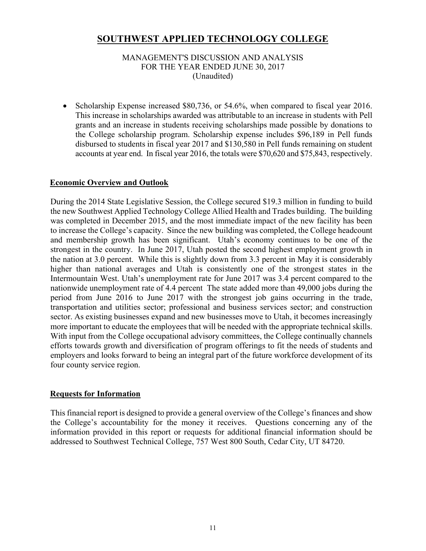MANAGEMENT'S DISCUSSION AND ANALYSIS FOR THE YEAR ENDED JUNE 30, 2017 (Unaudited)

 Scholarship Expense increased \$80,736, or 54.6%, when compared to fiscal year 2016. This increase in scholarships awarded was attributable to an increase in students with Pell grants and an increase in students receiving scholarships made possible by donations to the College scholarship program. Scholarship expense includes \$96,189 in Pell funds disbursed to students in fiscal year 2017 and \$130,580 in Pell funds remaining on student accounts at year end. In fiscal year 2016, the totals were \$70,620 and \$75,843, respectively.

#### **Economic Overview and Outlook**

During the 2014 State Legislative Session, the College secured \$19.3 million in funding to build the new Southwest Applied Technology College Allied Health and Trades building. The building was completed in December 2015, and the most immediate impact of the new facility has been to increase the College's capacity. Since the new building was completed, the College headcount and membership growth has been significant. Utah's economy continues to be one of the strongest in the country. In June 2017, Utah posted the second highest employment growth in the nation at 3.0 percent. While this is slightly down from 3.3 percent in May it is considerably higher than national averages and Utah is consistently one of the strongest states in the Intermountain West. Utah's unemployment rate for June 2017 was 3.4 percent compared to the nationwide unemployment rate of 4.4 percent The state added more than 49,000 jobs during the period from June 2016 to June 2017 with the strongest job gains occurring in the trade, transportation and utilities sector; professional and business services sector; and construction sector. As existing businesses expand and new businesses move to Utah, it becomes increasingly more important to educate the employees that will be needed with the appropriate technical skills. With input from the College occupational advisory committees, the College continually channels efforts towards growth and diversification of program offerings to fit the needs of students and employers and looks forward to being an integral part of the future workforce development of its four county service region.

#### **Requests for Information**

This financial report is designed to provide a general overview of the College's finances and show the College's accountability for the money it receives. Questions concerning any of the information provided in this report or requests for additional financial information should be addressed to Southwest Technical College, 757 West 800 South, Cedar City, UT 84720.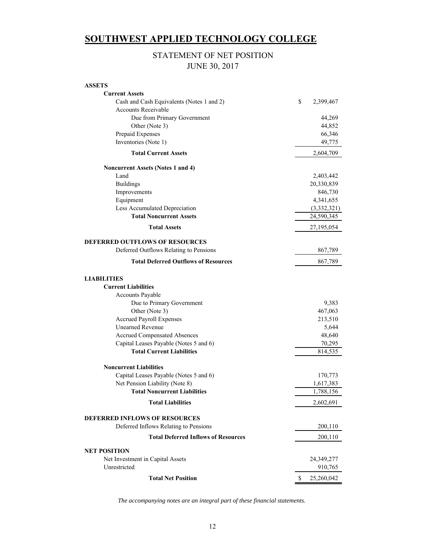### STATEMENT OF NET POSITION JUNE 30, 2017

| <b>ASSETS</b>                               |                  |
|---------------------------------------------|------------------|
| <b>Current Assets</b>                       |                  |
| Cash and Cash Equivalents (Notes 1 and 2)   | \$<br>2,399,467  |
| Accounts Receivable                         |                  |
| Due from Primary Government                 | 44,269           |
| Other (Note 3)                              | 44,852           |
| Prepaid Expenses                            | 66,346           |
| Inventories (Note 1)                        | 49,775           |
| <b>Total Current Assets</b>                 | 2,604,709        |
| <b>Noncurrent Assets (Notes 1 and 4)</b>    |                  |
| Land                                        | 2,403,442        |
| <b>Buildings</b>                            | 20,330,839       |
| Improvements                                | 846,730          |
| Equipment                                   | 4,341,655        |
| Less Accumulated Depreciation               | (3,332,321)      |
| <b>Total Noncurrent Assets</b>              | 24,590,345       |
| <b>Total Assets</b>                         | 27,195,054       |
| <b>DEFERRED OUTFLOWS OF RESOURCES</b>       |                  |
| Deferred Outflows Relating to Pensions      | 867,789          |
| <b>Total Deferred Outflows of Resources</b> | 867,789          |
| <b>LIABILITIES</b>                          |                  |
| <b>Current Liabilities</b>                  |                  |
| <b>Accounts Payable</b>                     |                  |
| Due to Primary Government                   | 9,383            |
| Other (Note 3)                              | 467,063          |
| <b>Accrued Payroll Expenses</b>             | 213,510          |
| <b>Unearned Revenue</b>                     | 5,644            |
| <b>Accrued Compensated Absences</b>         | 48,640           |
| Capital Leases Payable (Notes 5 and 6)      | 70,295           |
| <b>Total Current Liabilities</b>            | 814,535          |
| <b>Noncurrent Liabilities</b>               |                  |
| Capital Leases Payable (Notes 5 and 6)      | 170,773          |
| Net Pension Liability (Note 8)              | 1,617,383        |
| <b>Total Noncurrent Liabilities</b>         | 1,788,156        |
| <b>Total Liabilities</b>                    | 2,602,691        |
| <b>DEFERRED INFLOWS OF RESOURCES</b>        |                  |
| Deferred Inflows Relating to Pensions       | 200,110          |
| <b>Total Deferred Inflows of Resources</b>  | 200,110          |
| <b>NET POSITION</b>                         |                  |
| Net Investment in Capital Assets            | 24,349,277       |
| Unrestricted                                | 910,765          |
| <b>Total Net Position</b>                   | \$<br>25,260,042 |

*The accompanying notes are an integral part of these financial statements.*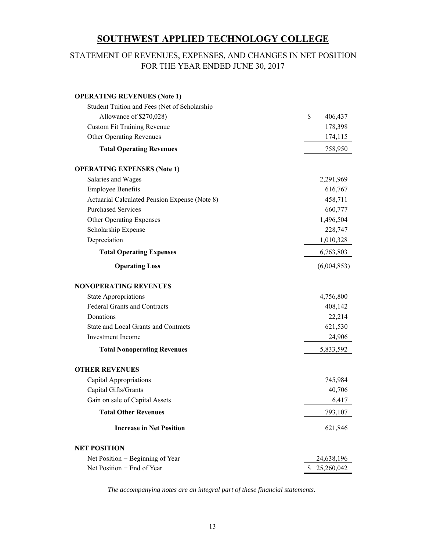### FOR THE YEAR ENDED JUNE 30, 2017 STATEMENT OF REVENUES, EXPENSES, AND CHANGES IN NET POSITION

| <b>OPERATING REVENUES (Note 1)</b>            |               |
|-----------------------------------------------|---------------|
| Student Tuition and Fees (Net of Scholarship  |               |
| Allowance of \$270,028)                       | \$<br>406,437 |
| <b>Custom Fit Training Revenue</b>            | 178,398       |
| <b>Other Operating Revenues</b>               | 174,115       |
| <b>Total Operating Revenues</b>               | 758,950       |
| <b>OPERATING EXPENSES (Note 1)</b>            |               |
| Salaries and Wages                            | 2,291,969     |
| <b>Employee Benefits</b>                      | 616,767       |
| Actuarial Calculated Pension Expense (Note 8) | 458,711       |
| <b>Purchased Services</b>                     | 660,777       |
| Other Operating Expenses                      | 1,496,504     |
| Scholarship Expense                           | 228,747       |
| Depreciation                                  | 1,010,328     |
| <b>Total Operating Expenses</b>               | 6,763,803     |
| <b>Operating Loss</b>                         | (6,004,853)   |
| <b>NONOPERATING REVENUES</b>                  |               |
| <b>State Appropriations</b>                   | 4,756,800     |
| <b>Federal Grants and Contracts</b>           | 408,142       |
| Donations                                     | 22,214        |
| State and Local Grants and Contracts          | 621,530       |
| Investment Income                             | 24,906        |
| <b>Total Nonoperating Revenues</b>            | 5,833,592     |
| <b>OTHER REVENUES</b>                         |               |
| Capital Appropriations                        | 745,984       |
| Capital Gifts/Grants                          | 40,706        |
| Gain on sale of Capital Assets                | 6,417         |
| <b>Total Other Revenues</b>                   | 793,107       |
| <b>Increase in Net Position</b>               | 621,846       |
| <b>NET POSITION</b>                           |               |
| Net Position $-$ Beginning of Year            | 24,638,196    |
| Net Position - End of Year                    | \$25,260,042  |

*The accompanying notes are an integral part of these financial statements.*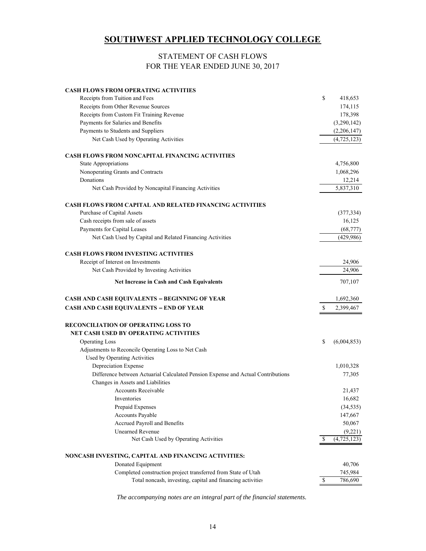#### STATEMENT OF CASH FLOWS FOR THE YEAR ENDED JUNE 30, 2017

| <b>CASH FLOWS FROM OPERATING ACTIVITIES</b><br>Receipts from Tuition and Fees    | \$ | 418,653       |
|----------------------------------------------------------------------------------|----|---------------|
| Receipts from Other Revenue Sources                                              |    | 174,115       |
| Receipts from Custom Fit Training Revenue                                        |    | 178,398       |
| Payments for Salaries and Benefits                                               |    | (3,290,142)   |
| Payments to Students and Suppliers                                               |    | (2,206,147)   |
| Net Cash Used by Operating Activities                                            |    | (4,725,123)   |
|                                                                                  |    |               |
| <b>CASH FLOWS FROM NONCAPITAL FINANCING ACTIVITIES</b>                           |    |               |
| <b>State Appropriations</b>                                                      |    | 4,756,800     |
| Nonoperating Grants and Contracts                                                |    | 1,068,296     |
| Donations                                                                        |    | 12,214        |
| Net Cash Provided by Noncapital Financing Activities                             |    | 5,837,310     |
| <b>CASH FLOWS FROM CAPITAL AND RELATED FINANCING ACTIVITIES</b>                  |    |               |
| Purchase of Capital Assets                                                       |    | (377, 334)    |
| Cash receipts from sale of assets                                                |    | 16,125        |
| Payments for Capital Leases                                                      |    | (68, 777)     |
| Net Cash Used by Capital and Related Financing Activities                        |    | (429, 986)    |
| <b>CASH FLOWS FROM INVESTING ACTIVITIES</b>                                      |    |               |
| Receipt of Interest on Investments                                               |    | 24,906        |
| Net Cash Provided by Investing Activities                                        |    | 24,906        |
| <b>Net Increase in Cash and Cash Equivalents</b>                                 |    | 707,107       |
| CASH AND CASH EQUIVALENTS - BEGINNING OF YEAR                                    |    | 1,692,360     |
| <b>CASH AND CASH EQUIVALENTS - END OF YEAR</b>                                   | S. | 2,399,467     |
|                                                                                  |    |               |
| <b>RECONCILIATION OF OPERATING LOSS TO</b>                                       |    |               |
| NET CASH USED BY OPERATING ACTIVITIES                                            |    |               |
| <b>Operating Loss</b>                                                            | \$ | (6,004,853)   |
| Adjustments to Reconcile Operating Loss to Net Cash                              |    |               |
| Used by Operating Activities                                                     |    |               |
| Depreciation Expense                                                             |    | 1,010,328     |
| Difference between Actuarial Calculated Pension Expense and Actual Contributions |    | 77,305        |
| Changes in Assets and Liabilities                                                |    |               |
| <b>Accounts Receivable</b>                                                       |    | 21,437        |
| Inventories                                                                      |    | 16,682        |
| Prepaid Expenses                                                                 |    | (34, 535)     |
| Accounts Payable                                                                 |    | 147,667       |
| Accrued Payroll and Benefits                                                     |    | 50,067        |
| <b>Unearned Revenue</b>                                                          |    | (9,221)       |
| Net Cash Used by Operating Activities                                            | S  | (4, 725, 123) |
| NONCASH INVESTING, CAPITAL AND FINANCING ACTIVITIES:                             |    |               |
| Donated Equipment                                                                |    | 40,706        |
| Completed construction project transferred from State of Utah                    |    | 745,984       |
| Total noncash, investing, capital and financing activities                       | \$ | 786,690       |

*The accompanying notes are an integral part of the financial statements.*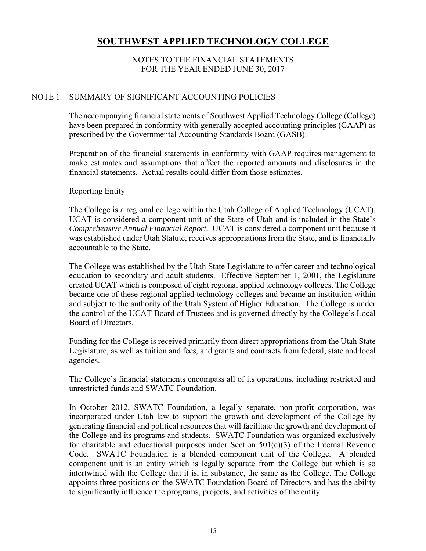#### NOTES TO THE FINANCIAL STATEMENTS FOR THE YEAR ENDED JUNE 30, 2017

#### NOTE 1. SUMMARY OF SIGNIFICANT ACCOUNTING POLICIES

The accompanying financial statements of Southwest Applied Technology College (College) have been prepared in conformity with generally accepted accounting principles (GAAP) as prescribed by the Governmental Accounting Standards Board (GASB).

Preparation of the financial statements in conformity with GAAP requires management to make estimates and assumptions that affect the reported amounts and disclosures in the financial statements. Actual results could differ from those estimates.

#### Reporting Entity

The College is a regional college within the Utah College of Applied Technology (UCAT). UCAT is considered a component unit of the State of Utah and is included in the State's *Comprehensive Annual Financial Report.* UCAT is considered a component unit because it was established under Utah Statute, receives appropriations from the State, and is financially accountable to the State.

The College was established by the Utah State Legislature to offer career and technological education to secondary and adult students. Effective September 1, 2001, the Legislature created UCAT which is composed of eight regional applied technology colleges. The College became one of these regional applied technology colleges and became an institution within and subject to the authority of the Utah System of Higher Education. The College is under the control of the UCAT Board of Trustees and is governed directly by the College's Local Board of Directors.

Funding for the College is received primarily from direct appropriations from the Utah State Legislature, as well as tuition and fees, and grants and contracts from federal, state and local agencies.

The College's financial statements encompass all of its operations, including restricted and unrestricted funds and SWATC Foundation.

In October 2012, SWATC Foundation, a legally separate, non-profit corporation, was incorporated under Utah law to support the growth and development of the College by generating financial and political resources that will facilitate the growth and development of the College and its programs and students. SWATC Foundation was organized exclusively for charitable and educational purposes under Section  $501(c)(3)$  of the Internal Revenue Code. SWATC Foundation is a blended component unit of the College. A blended component unit is an entity which is legally separate from the College but which is so intertwined with the College that it is, in substance, the same as the College. The College appoints three positions on the SWATC Foundation Board of Directors and has the ability to significantly influence the programs, projects, and activities of the entity.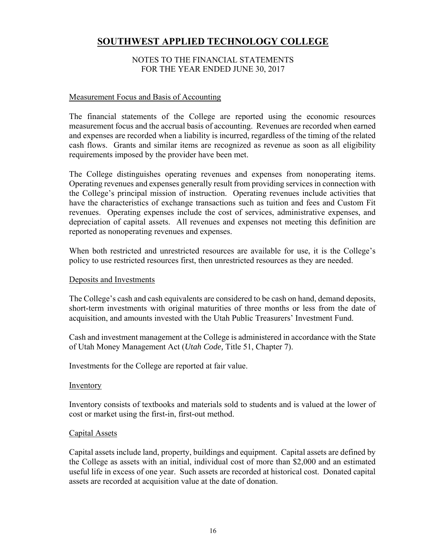#### NOTES TO THE FINANCIAL STATEMENTS FOR THE YEAR ENDED JUNE 30, 2017

#### Measurement Focus and Basis of Accounting

The financial statements of the College are reported using the economic resources measurement focus and the accrual basis of accounting. Revenues are recorded when earned and expenses are recorded when a liability is incurred, regardless of the timing of the related cash flows. Grants and similar items are recognized as revenue as soon as all eligibility requirements imposed by the provider have been met.

The College distinguishes operating revenues and expenses from nonoperating items. Operating revenues and expenses generally result from providing services in connection with the College's principal mission of instruction. Operating revenues include activities that have the characteristics of exchange transactions such as tuition and fees and Custom Fit revenues. Operating expenses include the cost of services, administrative expenses, and depreciation of capital assets. All revenues and expenses not meeting this definition are reported as nonoperating revenues and expenses.

When both restricted and unrestricted resources are available for use, it is the College's policy to use restricted resources first, then unrestricted resources as they are needed.

#### Deposits and Investments

The College's cash and cash equivalents are considered to be cash on hand, demand deposits, short-term investments with original maturities of three months or less from the date of acquisition, and amounts invested with the Utah Public Treasurers' Investment Fund.

Cash and investment management at the College is administered in accordance with the State of Utah Money Management Act (*Utah Code,* Title 51, Chapter 7).

Investments for the College are reported at fair value.

#### Inventory

Inventory consists of textbooks and materials sold to students and is valued at the lower of cost or market using the first-in, first-out method.

#### Capital Assets

Capital assets include land, property, buildings and equipment. Capital assets are defined by the College as assets with an initial, individual cost of more than \$2,000 and an estimated useful life in excess of one year. Such assets are recorded at historical cost. Donated capital assets are recorded at acquisition value at the date of donation.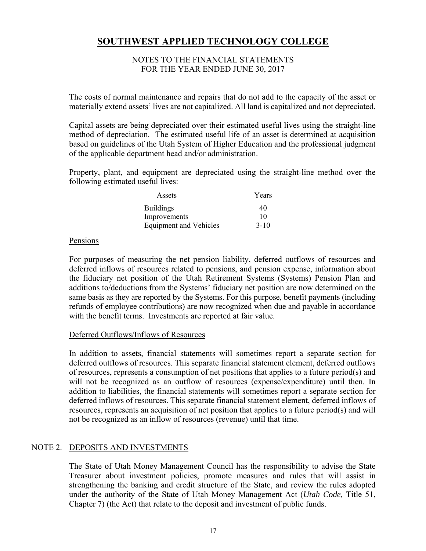#### NOTES TO THE FINANCIAL STATEMENTS FOR THE YEAR ENDED JUNE 30, 2017

The costs of normal maintenance and repairs that do not add to the capacity of the asset or materially extend assets' lives are not capitalized. All land is capitalized and not depreciated.

Capital assets are being depreciated over their estimated useful lives using the straight-line method of depreciation. The estimated useful life of an asset is determined at acquisition based on guidelines of the Utah System of Higher Education and the professional judgment of the applicable department head and/or administration.

Property, plant, and equipment are depreciated using the straight-line method over the following estimated useful lives:

| Assets                        | Years    |
|-------------------------------|----------|
| <b>Buildings</b>              | 40       |
| Improvements                  | 10       |
| <b>Equipment and Vehicles</b> | $3 - 10$ |

#### Pensions

For purposes of measuring the net pension liability, deferred outflows of resources and deferred inflows of resources related to pensions, and pension expense, information about the fiduciary net position of the Utah Retirement Systems (Systems) Pension Plan and additions to/deductions from the Systems' fiduciary net position are now determined on the same basis as they are reported by the Systems. For this purpose, benefit payments (including refunds of employee contributions) are now recognized when due and payable in accordance with the benefit terms. Investments are reported at fair value.

#### Deferred Outflows/Inflows of Resources

In addition to assets, financial statements will sometimes report a separate section for deferred outflows of resources. This separate financial statement element, deferred outflows of resources, represents a consumption of net positions that applies to a future period(s) and will not be recognized as an outflow of resources (expense/expenditure) until then. In addition to liabilities, the financial statements will sometimes report a separate section for deferred inflows of resources. This separate financial statement element, deferred inflows of resources, represents an acquisition of net position that applies to a future period(s) and will not be recognized as an inflow of resources (revenue) until that time.

#### NOTE 2. DEPOSITS AND INVESTMENTS

The State of Utah Money Management Council has the responsibility to advise the State Treasurer about investment policies, promote measures and rules that will assist in strengthening the banking and credit structure of the State, and review the rules adopted under the authority of the State of Utah Money Management Act (*Utah Code,* Title 51, Chapter 7) (the Act) that relate to the deposit and investment of public funds.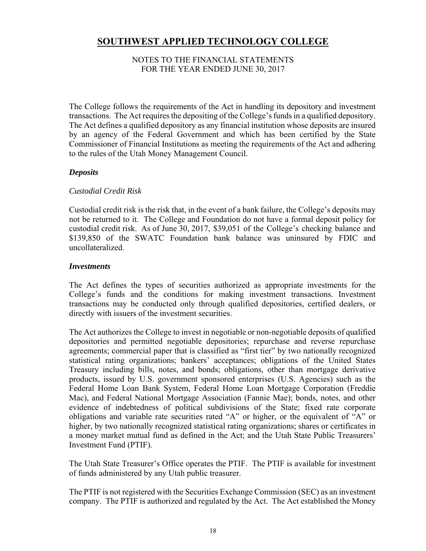#### NOTES TO THE FINANCIAL STATEMENTS FOR THE YEAR ENDED JUNE 30, 2017

The College follows the requirements of the Act in handling its depository and investment transactions. The Act requires the depositing of the College's funds in a qualified depository. The Act defines a qualified depository as any financial institution whose deposits are insured by an agency of the Federal Government and which has been certified by the State Commissioner of Financial Institutions as meeting the requirements of the Act and adhering to the rules of the Utah Money Management Council.

#### *Deposits*

#### *Custodial Credit Risk*

Custodial credit risk is the risk that, in the event of a bank failure, the College's deposits may not be returned to it. The College and Foundation do not have a formal deposit policy for custodial credit risk. As of June 30, 2017, \$39,051 of the College's checking balance and \$139,850 of the SWATC Foundation bank balance was uninsured by FDIC and uncollateralized.

#### *Investments*

The Act defines the types of securities authorized as appropriate investments for the College's funds and the conditions for making investment transactions. Investment transactions may be conducted only through qualified depositories, certified dealers, or directly with issuers of the investment securities.

The Act authorizes the College to invest in negotiable or non-negotiable deposits of qualified depositories and permitted negotiable depositories; repurchase and reverse repurchase agreements; commercial paper that is classified as "first tier" by two nationally recognized statistical rating organizations; bankers' acceptances; obligations of the United States Treasury including bills, notes, and bonds; obligations, other than mortgage derivative products, issued by U.S. government sponsored enterprises (U.S. Agencies) such as the Federal Home Loan Bank System, Federal Home Loan Mortgage Corporation (Freddie Mac), and Federal National Mortgage Association (Fannie Mae); bonds, notes, and other evidence of indebtedness of political subdivisions of the State; fixed rate corporate obligations and variable rate securities rated "A" or higher, or the equivalent of "A" or higher, by two nationally recognized statistical rating organizations; shares or certificates in a money market mutual fund as defined in the Act; and the Utah State Public Treasurers' Investment Fund (PTIF).

The Utah State Treasurer's Office operates the PTIF. The PTIF is available for investment of funds administered by any Utah public treasurer.

The PTIF is not registered with the Securities Exchange Commission (SEC) as an investment company. The PTIF is authorized and regulated by the Act. The Act established the Money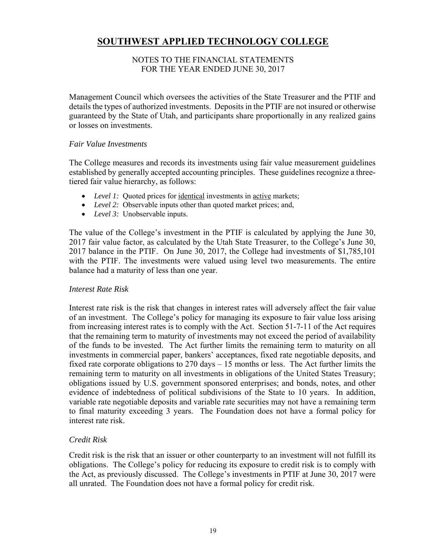#### NOTES TO THE FINANCIAL STATEMENTS FOR THE YEAR ENDED JUNE 30, 2017

Management Council which oversees the activities of the State Treasurer and the PTIF and details the types of authorized investments. Deposits in the PTIF are not insured or otherwise guaranteed by the State of Utah, and participants share proportionally in any realized gains or losses on investments.

#### *Fair Value Investments*

The College measures and records its investments using fair value measurement guidelines established by generally accepted accounting principles. These guidelines recognize a threetiered fair value hierarchy, as follows:

- Level 1: Quoted prices for identical investments in active markets;
- *Level 2:* Observable inputs other than quoted market prices; and,
- *Level 3:* Unobservable inputs.

The value of the College's investment in the PTIF is calculated by applying the June 30, 2017 fair value factor, as calculated by the Utah State Treasurer, to the College's June 30, 2017 balance in the PTIF. On June 30, 2017, the College had investments of \$1,785,101 with the PTIF. The investments were valued using level two measurements. The entire balance had a maturity of less than one year.

#### *Interest Rate Risk*

Interest rate risk is the risk that changes in interest rates will adversely affect the fair value of an investment. The College's policy for managing its exposure to fair value loss arising from increasing interest rates is to comply with the Act. Section 51-7-11 of the Act requires that the remaining term to maturity of investments may not exceed the period of availability of the funds to be invested. The Act further limits the remaining term to maturity on all investments in commercial paper, bankers' acceptances, fixed rate negotiable deposits, and fixed rate corporate obligations to 270 days – 15 months or less. The Act further limits the remaining term to maturity on all investments in obligations of the United States Treasury; obligations issued by U.S. government sponsored enterprises; and bonds, notes, and other evidence of indebtedness of political subdivisions of the State to 10 years. In addition, variable rate negotiable deposits and variable rate securities may not have a remaining term to final maturity exceeding 3 years. The Foundation does not have a formal policy for interest rate risk.

#### *Credit Risk*

Credit risk is the risk that an issuer or other counterparty to an investment will not fulfill its obligations. The College's policy for reducing its exposure to credit risk is to comply with the Act, as previously discussed. The College's investments in PTIF at June 30, 2017 were all unrated. The Foundation does not have a formal policy for credit risk.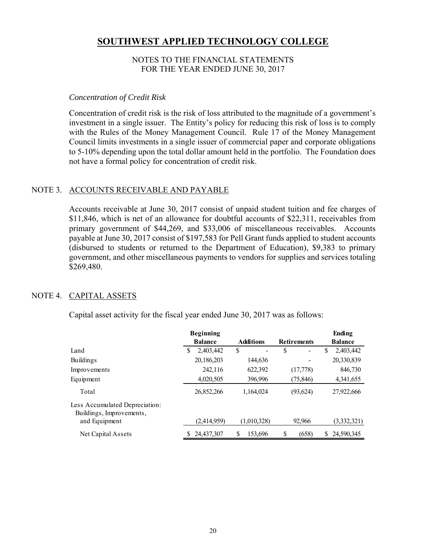#### NOTES TO THE FINANCIAL STATEMENTS FOR THE YEAR ENDED JUNE 30, 2017

#### *Concentration of Credit Risk*

Concentration of credit risk is the risk of loss attributed to the magnitude of a government's investment in a single issuer. The Entity's policy for reducing this risk of loss is to comply with the Rules of the Money Management Council. Rule 17 of the Money Management Council limits investments in a single issuer of commercial paper and corporate obligations to 5-10% depending upon the total dollar amount held in the portfolio. The Foundation does not have a formal policy for concentration of credit risk.

#### NOTE 3. ACCOUNTS RECEIVABLE AND PAYABLE

Accounts receivable at June 30, 2017 consist of unpaid student tuition and fee charges of \$11,846, which is net of an allowance for doubtful accounts of \$22,311, receivables from primary government of \$44,269, and \$33,006 of miscellaneous receivables. Accounts payable at June 30, 2017 consist of \$197,583 for Pell Grant funds applied to student accounts (disbursed to students or returned to the Department of Education), \$9,383 to primary government, and other miscellaneous payments to vendors for supplies and services totaling \$269,480.

#### NOTE 4. CAPITAL ASSETS

Capital asset activity for the fiscal year ended June 30, 2017 was as follows:

|                                                            | <b>Beginning</b> |                  |                               | Ending           |
|------------------------------------------------------------|------------------|------------------|-------------------------------|------------------|
|                                                            | <b>Balance</b>   | <b>Additions</b> | <b>Retirements</b>            | <b>Balance</b>   |
| Land                                                       | 2,403,442<br>S   | \$<br>-          | S<br>$\overline{\phantom{0}}$ | 2,403,442<br>S   |
| <b>Buildings</b>                                           | 20,186,203       | 144,636          |                               | 20,330,839       |
| Improvements                                               | 242,116          | 622,392          | (17,778)                      | 846,730          |
| Equipment                                                  | 4,020,505        | 396,996          | (75, 846)                     | 4,341,655        |
| Total                                                      | 26,852,266       | 1.164.024        | (93, 624)                     | 27,922,666       |
| Less Accumulated Depreciation:<br>Buildings, Improvements, |                  |                  |                               |                  |
| and Equipment                                              | (2,414,959)      | (1,010,328)      | 92,966                        | (3,332,321)      |
| Net Capital Assets                                         | 24,437,307       | S<br>153.696     | (658)<br>S                    | 24,590,345<br>S. |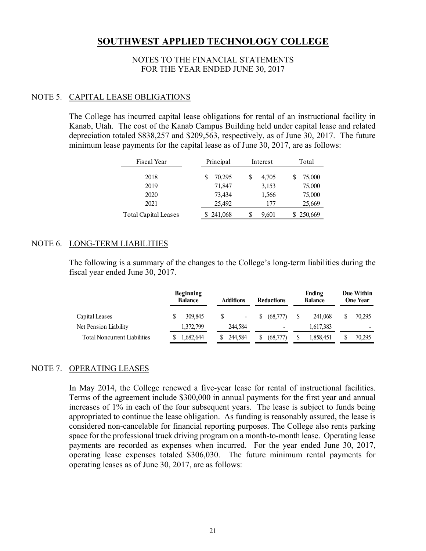#### NOTES TO THE FINANCIAL STATEMENTS FOR THE YEAR ENDED JUNE 30, 2017

#### NOTE 5. CAPITAL LEASE OBLIGATIONS

The College has incurred capital lease obligations for rental of an instructional facility in Kanab, Utah. The cost of the Kanab Campus Building held under capital lease and related depreciation totaled \$838,257 and \$209,563, respectively, as of June 30, 2017. The future minimum lease payments for the capital lease as of June 30, 2017, are as follows:

| Fiscal Year                 | Principal | Interest   | Total   |  |  |
|-----------------------------|-----------|------------|---------|--|--|
| 2018                        | 70,295    | 4,705<br>S | 75,000  |  |  |
| 2019                        | 71,847    | 3,153      | 75,000  |  |  |
| 2020                        | 73,434    | 1,566      | 75,000  |  |  |
| 2021                        | 25,492    | 177        | 25,669  |  |  |
| <b>Total Capital Leases</b> | \$241,068 | S<br>9,601 | 250,669 |  |  |

#### NOTE 6. LONG-TERM LIABILITIES

The following is a summary of the changes to the College's long-term liabilities during the fiscal year ended June 30, 2017.

|                                     | <b>Beginning</b><br><b>Balance</b> | <b>Additions</b><br><b>Reductions</b> |                | Ending<br><b>Balance</b> | Due Within<br><b>One Year</b> |    |           |        |
|-------------------------------------|------------------------------------|---------------------------------------|----------------|--------------------------|-------------------------------|----|-----------|--------|
| Capital Leases                      | 309,845                            |                                       | $\blacksquare$ | S.                       | (68,777)                      | -S | 241,068   | 70.295 |
| Net Pension Liability               | 1,372,799                          |                                       | 244,584        |                          | $\overline{\phantom{a}}$      |    | 1,617,383 | -      |
| <b>Total Noncurrent Liabilities</b> | 1,682,644                          |                                       | 244,584        |                          | (68.777)                      |    | 1,858,451 | 70,295 |

#### NOTE 7. OPERATING LEASES

In May 2014, the College renewed a five-year lease for rental of instructional facilities. Terms of the agreement include \$300,000 in annual payments for the first year and annual increases of 1% in each of the four subsequent years. The lease is subject to funds being appropriated to continue the lease obligation. As funding is reasonably assured, the lease is considered non-cancelable for financial reporting purposes. The College also rents parking space for the professional truck driving program on a month-to-month lease. Operating lease payments are recorded as expenses when incurred. For the year ended June 30, 2017, operating lease expenses totaled \$306,030. The future minimum rental payments for operating leases as of June 30, 2017, are as follows: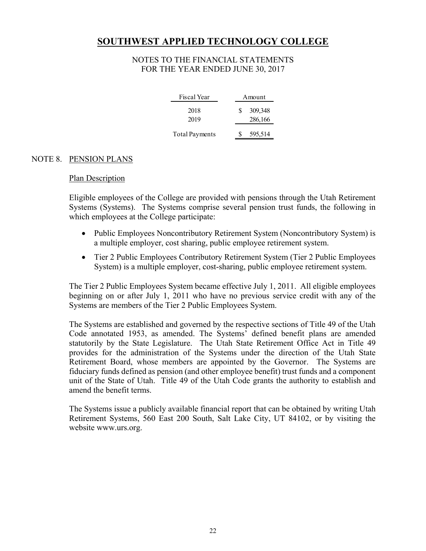#### NOTES TO THE FINANCIAL STATEMENTS FOR THE YEAR ENDED JUNE 30, 2017

| Fiscal Year           | Amount                  |
|-----------------------|-------------------------|
| 2018<br>2019          | 309,348<br>S<br>286,166 |
| <b>Total Payments</b> | 595,514                 |

#### NOTE 8. PENSION PLANS

#### Plan Description

Eligible employees of the College are provided with pensions through the Utah Retirement Systems (Systems). The Systems comprise several pension trust funds, the following in which employees at the College participate:

- Public Employees Noncontributory Retirement System (Noncontributory System) is a multiple employer, cost sharing, public employee retirement system.
- Tier 2 Public Employees Contributory Retirement System (Tier 2 Public Employees System) is a multiple employer, cost-sharing, public employee retirement system.

The Tier 2 Public Employees System became effective July 1, 2011. All eligible employees beginning on or after July 1, 2011 who have no previous service credit with any of the Systems are members of the Tier 2 Public Employees System.

The Systems are established and governed by the respective sections of Title 49 of the Utah Code annotated 1953, as amended. The Systems' defined benefit plans are amended statutorily by the State Legislature. The Utah State Retirement Office Act in Title 49 provides for the administration of the Systems under the direction of the Utah State Retirement Board, whose members are appointed by the Governor. The Systems are fiduciary funds defined as pension (and other employee benefit) trust funds and a component unit of the State of Utah. Title 49 of the Utah Code grants the authority to establish and amend the benefit terms.

The Systems issue a publicly available financial report that can be obtained by writing Utah Retirement Systems, 560 East 200 South, Salt Lake City, UT 84102, or by visiting the website www.urs.org.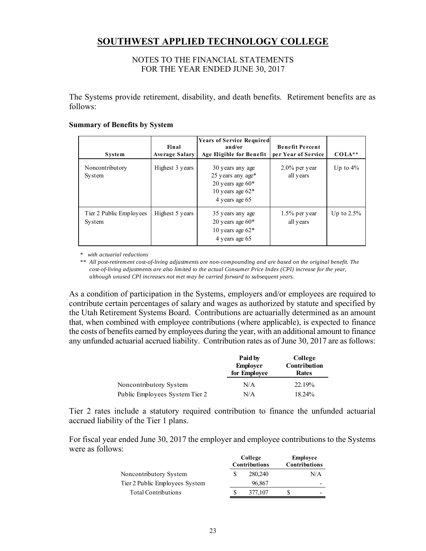#### NOTES TO THE FINANCIAL STATEMENTS FOR THE YEAR ENDED JUNE 30, 2017

The Systems provide retirement, disability, and death benefits. Retirement benefits are as follows:

#### **Summary of Benefits by System**

|                                          | Final                 | <b>Years of Service Required</b><br>and/or                                                          | <b>Benefit Percent</b>        |               |
|------------------------------------------|-----------------------|-----------------------------------------------------------------------------------------------------|-------------------------------|---------------|
| <b>System</b>                            | <b>Average Salary</b> | Age Eligible for Benefit                                                                            | per Year of Service           | $COLA**$      |
| Noncontributory<br><b>System</b>         | Highest 3 years       | 30 years any age<br>25 years any age*<br>20 years age $60*$<br>10 years age $62*$<br>4 years age 65 | $2.0\%$ per year<br>all years | Up to $4\%$   |
| Tier 2 Public Employees<br><b>System</b> | Highest 5 years       | 35 years any age<br>20 years age $60*$<br>10 years age $62*$<br>4 years age 65                      | $1.5\%$ per year<br>all years | Up to $2.5\%$ |

*\* with actuarial reductions*

*\*\* All post-retirement cost-of-living adjustments are non-compounding and are based on the original benefit. The cost-of-living adjustments are also limited to the actual Consumer Price Index (CPI) increase for the year, although unused CPI increases not met may be carried forward to subsequent years.*

As a condition of participation in the Systems, employers and/or employees are required to contribute certain percentages of salary and wages as authorized by statute and specified by the Utah Retirement Systems Board. Contributions are actuarially determined as an amount that, when combined with employee contributions (where applicable), is expected to finance the costs of benefits earned by employees during the year, with an additional amount to finance any unfunded actuarial accrued liability. Contribution rates as of June 30, 2017 are as follows:

|                                | Paid by<br><b>Employer</b><br>for Employee | College<br>Contribution<br>Rates |
|--------------------------------|--------------------------------------------|----------------------------------|
| Noncontributory System         | N/A                                        | 22.19%                           |
| Public Employees System Tier 2 | N/A                                        | 18.24%                           |

Tier 2 rates include a statutory required contribution to finance the unfunded actuarial accrued liability of the Tier 1 plans.

For fiscal year ended June 30, 2017 the employer and employee contributions to the Systems were as follows:

|                                | College<br><b>Contributions</b> |         | Employee<br><b>Contributions</b> |
|--------------------------------|---------------------------------|---------|----------------------------------|
| Noncontributory System         |                                 | 280,240 | N/A                              |
| Tier 2 Public Employees System |                                 | 96.867  | -                                |
| <b>Total Contributions</b>     |                                 | 377,107 | -                                |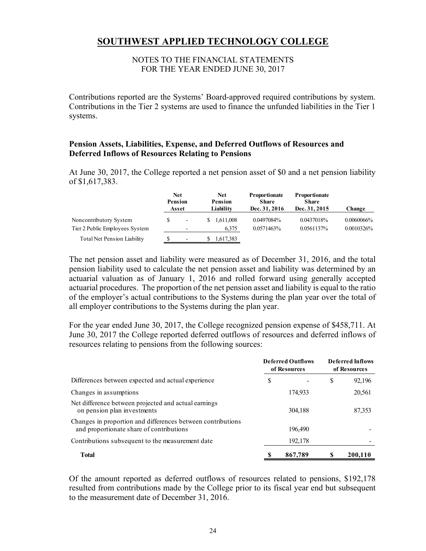#### NOTES TO THE FINANCIAL STATEMENTS FOR THE YEAR ENDED JUNE 30, 2017

Contributions reported are the Systems' Board-approved required contributions by system. Contributions in the Tier 2 systems are used to finance the unfunded liabilities in the Tier 1 systems.

#### **Pension Assets, Liabilities, Expense, and Deferred Outflows of Resources and Deferred Inflows of Resources Relating to Pensions**

At June 30, 2017, the College reported a net pension asset of \$0 and a net pension liability of \$1,617,383.

|                                                          | <b>Net</b><br>Pension<br>Asset                       | <b>Net</b><br><b>Pension</b><br>Liability | <b>Proportionate</b><br>Share<br>Dec. 31, 2016 | <b>Proportionate</b><br><b>Share</b><br>Dec. 31, 2015 | Change                      |
|----------------------------------------------------------|------------------------------------------------------|-------------------------------------------|------------------------------------------------|-------------------------------------------------------|-----------------------------|
| Noncontributory System<br>Tier 2 Public Employees System | $\overline{\phantom{a}}$<br>$\overline{\phantom{0}}$ | 1.611.008<br>6,375                        | 0.0497084%<br>0.0571463%                       | 0.0437018%<br>0.0561137%                              | 0.0060066%<br>$0.0010326\%$ |
| Total Net Pension Liability                              | ٠                                                    | 1,617,383                                 |                                                |                                                       |                             |

The net pension asset and liability were measured as of December 31, 2016, and the total pension liability used to calculate the net pension asset and liability was determined by an actuarial valuation as of January 1, 2016 and rolled forward using generally accepted actuarial procedures. The proportion of the net pension asset and liability is equal to the ratio of the employer's actual contributions to the Systems during the plan year over the total of all employer contributions to the Systems during the plan year.

For the year ended June 30, 2017, the College recognized pension expense of \$458,711. At June 30, 2017 the College reported deferred outflows of resources and deferred inflows of resources relating to pensions from the following sources:

|                                                                                                         |    | <b>Deferred Outflows</b><br>of Resources |    | <b>Deferred Inflows</b><br>of Resources |  |
|---------------------------------------------------------------------------------------------------------|----|------------------------------------------|----|-----------------------------------------|--|
| Differences between expected and actual experience                                                      | \$ |                                          | \$ | 92,196                                  |  |
| Changes in assumptions                                                                                  |    | 174,933                                  |    | 20,561                                  |  |
| Net difference between projected and actual earnings<br>on pension plan investments                     |    | 304,188                                  |    | 87,353                                  |  |
| Changes in proportion and differences between contributions<br>and proportionate share of contributions |    | 196,490                                  |    |                                         |  |
| Contributions subsequent to the measurement date                                                        |    | 192,178                                  |    |                                         |  |
| <b>Total</b>                                                                                            |    | 867,789                                  |    | 200,110                                 |  |

Of the amount reported as deferred outflows of resources related to pensions, \$192,178 resulted from contributions made by the College prior to its fiscal year end but subsequent to the measurement date of December 31, 2016.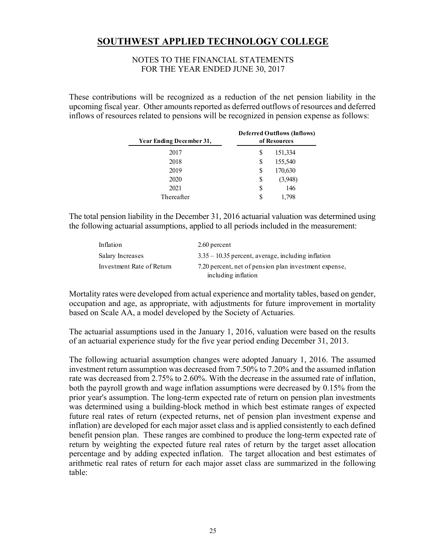#### NOTES TO THE FINANCIAL STATEMENTS FOR THE YEAR ENDED JUNE 30, 2017

These contributions will be recognized as a reduction of the net pension liability in the upcoming fiscal year. Other amounts reported as deferred outflows of resources and deferred inflows of resources related to pensions will be recognized in pension expense as follows:

| Year Ending December 31, | <b>Deferred Outflows (Inflows)</b><br>of Resources |  |  |
|--------------------------|----------------------------------------------------|--|--|
| 2017                     | 151,334<br>S                                       |  |  |
| 2018                     | 155,540<br>S                                       |  |  |
| 2019                     | 170,630<br>S                                       |  |  |
| 2020                     | S                                                  |  |  |
| 2021                     | S<br>146                                           |  |  |
| Thereafter               | S<br>1.798                                         |  |  |

The total pension liability in the December 31, 2016 actuarial valuation was determined using the following actuarial assumptions, applied to all periods included in the measurement:

| Inflation                 | 2.60 percent                                          |
|---------------------------|-------------------------------------------------------|
| Salary Increases          | $3.35 - 10.35$ percent, average, including inflation  |
| Investment Rate of Return | 7.20 percent, net of pension plan investment expense, |
|                           | including inflation                                   |

Mortality rates were developed from actual experience and mortality tables, based on gender, occupation and age, as appropriate, with adjustments for future improvement in mortality based on Scale AA, a model developed by the Society of Actuaries.

The actuarial assumptions used in the January 1, 2016, valuation were based on the results of an actuarial experience study for the five year period ending December 31, 2013.

The following actuarial assumption changes were adopted January 1, 2016. The assumed investment return assumption was decreased from 7.50% to 7.20% and the assumed inflation rate was decreased from 2.75% to 2.60%. With the decrease in the assumed rate of inflation, both the payroll growth and wage inflation assumptions were decreased by 0.15% from the prior year's assumption. The long-term expected rate of return on pension plan investments was determined using a building-block method in which best estimate ranges of expected future real rates of return (expected returns, net of pension plan investment expense and inflation) are developed for each major asset class and is applied consistently to each defined benefit pension plan. These ranges are combined to produce the long-term expected rate of return by weighting the expected future real rates of return by the target asset allocation percentage and by adding expected inflation. The target allocation and best estimates of arithmetic real rates of return for each major asset class are summarized in the following table: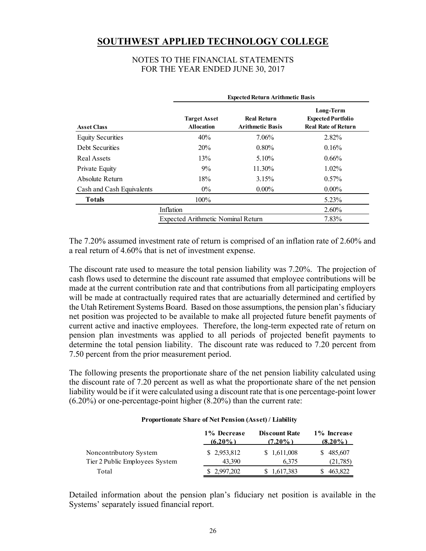#### NOTES TO THE FINANCIAL STATEMENTS FOR THE YEAR ENDED JUNE 30, 2017

|                           |                                           | <b>Expected Return Arithmetic Basis</b>       |                                                                      |  |  |  |  |
|---------------------------|-------------------------------------------|-----------------------------------------------|----------------------------------------------------------------------|--|--|--|--|
| <b>Asset Class</b>        | <b>Target Asset</b><br><b>Allocation</b>  | <b>Real Return</b><br><b>Arithmetic Basis</b> | Long-Term<br><b>Expected Portfolio</b><br><b>Real Rate of Return</b> |  |  |  |  |
| <b>Equity Securities</b>  | 40%                                       | 7.06%                                         | 2.82%                                                                |  |  |  |  |
| <b>Debt Securities</b>    | 20%                                       | $0.80\%$                                      | 0.16%                                                                |  |  |  |  |
| Real Assets               | 13%                                       | $5.10\%$                                      | $0.66\%$                                                             |  |  |  |  |
| Private Equity            | $9\%$                                     | 11.30%                                        | $1.02\%$                                                             |  |  |  |  |
| Absolute Return           | 18%                                       | 3.15%                                         | $0.57\%$                                                             |  |  |  |  |
| Cash and Cash Equivalents | $0\%$                                     | $0.00\%$                                      | $0.00\%$                                                             |  |  |  |  |
| <b>Totals</b>             | 100%                                      |                                               | $5.23\%$                                                             |  |  |  |  |
|                           | Inflation                                 |                                               | $2.60\%$                                                             |  |  |  |  |
|                           | <b>Expected Arithmetic Nominal Return</b> |                                               | 7.83%                                                                |  |  |  |  |

The 7.20% assumed investment rate of return is comprised of an inflation rate of 2.60% and a real return of 4.60% that is net of investment expense.

The discount rate used to measure the total pension liability was 7.20%. The projection of cash flows used to determine the discount rate assumed that employee contributions will be made at the current contribution rate and that contributions from all participating employers will be made at contractually required rates that are actuarially determined and certified by the Utah Retirement Systems Board. Based on those assumptions, the pension plan's fiduciary net position was projected to be available to make all projected future benefit payments of current active and inactive employees. Therefore, the long-term expected rate of return on pension plan investments was applied to all periods of projected benefit payments to determine the total pension liability. The discount rate was reduced to 7.20 percent from 7.50 percent from the prior measurement period.

The following presents the proportionate share of the net pension liability calculated using the discount rate of 7.20 percent as well as what the proportionate share of the net pension liability would be if it were calculated using a discount rate that is one percentage-point lower (6.20%) or one-percentage-point higher (8.20%) than the current rate:

#### **(6.20%) (7.20%) (8.20%)** Noncontributory System  $$ 2,953,812 \qquad $ 1,611,008 \qquad $ 485,607$ Tier 2 Public Employees System 43,390 6,375 (21,785) Total \$ 2,997,202 \$ 1,617,383 \$ 463,822 **1% Decrease Discount Rate 1% Increase**

#### **Proportionate Share of Net Pension (Asset) / Liability**

Detailed information about the pension plan's fiduciary net position is available in the Systems' separately issued financial report.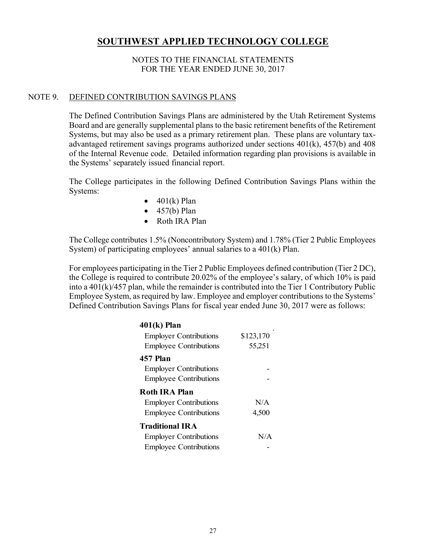#### NOTES TO THE FINANCIAL STATEMENTS FOR THE YEAR ENDED JUNE 30, 2017

#### NOTE 9. DEFINED CONTRIBUTION SAVINGS PLANS

The Defined Contribution Savings Plans are administered by the Utah Retirement Systems Board and are generally supplemental plans to the basic retirement benefits of the Retirement Systems, but may also be used as a primary retirement plan. These plans are voluntary taxadvantaged retirement savings programs authorized under sections 401(k), 457(b) and 408 of the Internal Revenue code. Detailed information regarding plan provisions is available in the Systems' separately issued financial report.

The College participates in the following Defined Contribution Savings Plans within the Systems:

- $\bullet$  401(k) Plan
- $\bullet$  457(b) Plan
- Roth IRA Plan

The College contributes 1.5% (Noncontributory System) and 1.78% (Tier 2 Public Employees System) of participating employees' annual salaries to a 401(k) Plan.

For employees participating in the Tier 2 Public Employees defined contribution (Tier 2 DC), the College is required to contribute 20.02% of the employee's salary, of which 10% is paid into a 401(k)/457 plan, while the remainder is contributed into the Tier 1 Contributory Public Employee System, as required by law. Employee and employer contributions to the Systems' Defined Contribution Savings Plans for fiscal year ended June 30, 2017 were as follows:

| $401(k)$ Plan                 |           |
|-------------------------------|-----------|
| <b>Employer Contributions</b> | \$123,170 |
| <b>Employee Contributions</b> | 55,251    |
| 457 Plan                      |           |
| <b>Employer Contributions</b> |           |
| <b>Employee Contributions</b> |           |
| <b>Roth IRA Plan</b>          |           |
| <b>Employer Contributions</b> | N/A       |
| <b>Employee Contributions</b> | 4,500     |
| <b>Traditional IRA</b>        |           |
| <b>Employer Contributions</b> | N/A       |
| <b>Employee Contributions</b> |           |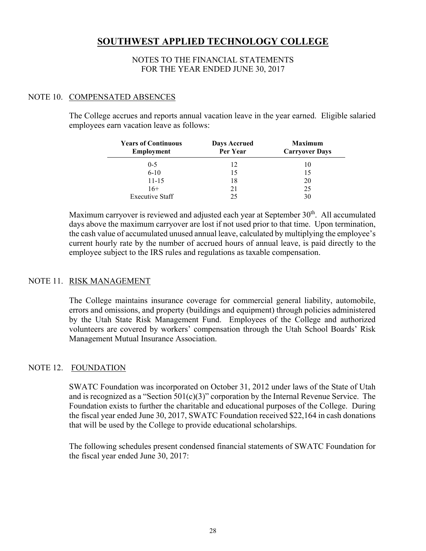#### NOTES TO THE FINANCIAL STATEMENTS FOR THE YEAR ENDED JUNE 30, 2017

#### NOTE 10. COMPENSATED ABSENCES

The College accrues and reports annual vacation leave in the year earned. Eligible salaried employees earn vacation leave as follows:

| <b>Years of Continuous</b><br><b>Employment</b> | <b>Days Accrued</b><br>Per Year | <b>Maximum</b><br><b>Carryover Days</b> |
|-------------------------------------------------|---------------------------------|-----------------------------------------|
| $0 - 5$                                         | 12                              | 10                                      |
| $6-10$                                          | 15                              | 15                                      |
| $11 - 15$                                       | 18                              | 20                                      |
| $16+$                                           | 21                              | 25                                      |
| <b>Executive Staff</b>                          | 25                              |                                         |

Maximum carryover is reviewed and adjusted each year at September  $30<sup>th</sup>$ . All accumulated days above the maximum carryover are lost if not used prior to that time. Upon termination, the cash value of accumulated unused annual leave, calculated by multiplying the employee's current hourly rate by the number of accrued hours of annual leave, is paid directly to the employee subject to the IRS rules and regulations as taxable compensation.

#### NOTE 11. RISK MANAGEMENT

The College maintains insurance coverage for commercial general liability, automobile, errors and omissions, and property (buildings and equipment) through policies administered by the Utah State Risk Management Fund. Employees of the College and authorized volunteers are covered by workers' compensation through the Utah School Boards' Risk Management Mutual Insurance Association.

#### NOTE 12. FOUNDATION

SWATC Foundation was incorporated on October 31, 2012 under laws of the State of Utah and is recognized as a "Section  $501(c)(3)$ " corporation by the Internal Revenue Service. The Foundation exists to further the charitable and educational purposes of the College. During the fiscal year ended June 30, 2017, SWATC Foundation received \$22,164 in cash donations that will be used by the College to provide educational scholarships.

The following schedules present condensed financial statements of SWATC Foundation for the fiscal year ended June 30, 2017: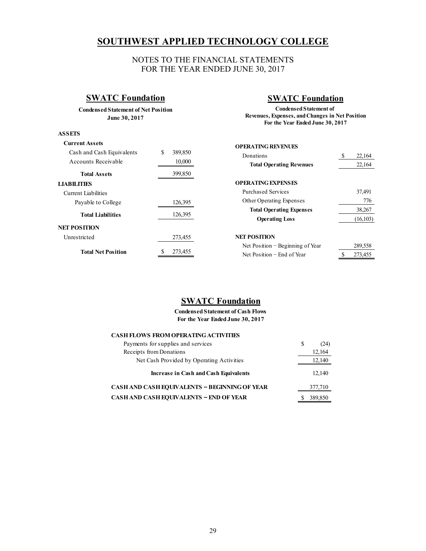#### NOTES TO THE FINANCIAL STATEMENTS FOR THE YEAR ENDED JUNE 30, 2017

### **SWATC Foundation**

**Condensed Statement of Net Position June 30, 2017**

#### **ASSETS**

#### **SWATC Foundation**

**For the Year Ended June 30, 2017 Condensed Statement of Revenues, Expenses, and Changes in Net Position**

| <b>Current Assets</b>     |               | <b>OPERATING REVENUES</b>          |      |           |
|---------------------------|---------------|------------------------------------|------|-----------|
| Cash and Cash Equivalents | \$<br>389,850 | Donations                          | - 75 | 22,164    |
| Accounts Receivable       | 10,000        | <b>Total Operating Revenues</b>    |      | 22,164    |
| <b>Total Assets</b>       | 399,850       |                                    |      |           |
| <b>LIABILITIES</b>        |               | <b>OPERATING EXPENSES</b>          |      |           |
| Current Liabilities       |               | <b>Purchased Services</b>          |      | 37,491    |
| Payable to College        | 126,395       | Other Operating Expenses           |      | 776       |
|                           |               | <b>Total Operating Expenses</b>    |      | 38,267    |
| <b>Total Liabilities</b>  | 126,395       | <b>Operating Loss</b>              |      | (16, 103) |
| <b>NET POSITION</b>       |               |                                    |      |           |
| Unrestricted              | 273,455       | <b>NET POSITION</b>                |      |           |
|                           |               | Net Position $-$ Beginning of Year |      | 289,558   |
| <b>Total Net Position</b> | 273,455       | Net Position – End of Year         |      | 273,455   |

### **SWATC Foundation**

**Condensed Statement of Cash Flows For the Year Ended June 30, 2017**

| <b>CASH FLOWS FROM OPERATING ACTIVITIES</b>          |   |         |
|------------------------------------------------------|---|---------|
| Payments for supplies and services                   | S | (24)    |
| Receipts from Donations                              |   | 12,164  |
| Net Cash Provided by Operating Activities            |   | 12,140  |
| Increase in Cash and Cash Equivalents                |   | 12,140  |
| <b>CASH AND CASH EQUIVALENTS - BEGINNING OF YEAR</b> |   | 377,710 |
| <b>CASH AND CASH EQUIVALENTS - END OF YEAR</b>       |   | 389,850 |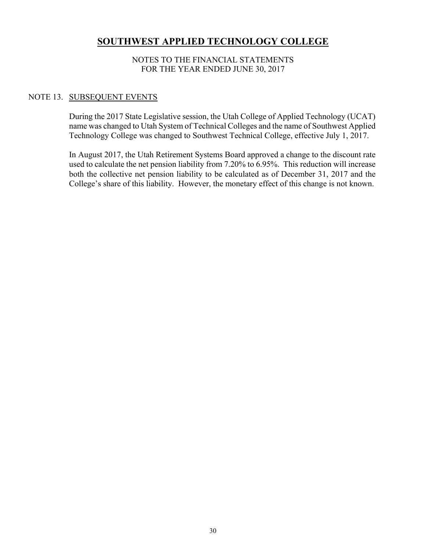#### NOTES TO THE FINANCIAL STATEMENTS FOR THE YEAR ENDED JUNE 30, 2017

#### NOTE 13. SUBSEQUENT EVENTS

During the 2017 State Legislative session, the Utah College of Applied Technology (UCAT) name was changed to Utah System of Technical Colleges and the name of Southwest Applied Technology College was changed to Southwest Technical College, effective July 1, 2017.

In August 2017, the Utah Retirement Systems Board approved a change to the discount rate used to calculate the net pension liability from 7.20% to 6.95%. This reduction will increase both the collective net pension liability to be calculated as of December 31, 2017 and the College's share of this liability. However, the monetary effect of this change is not known.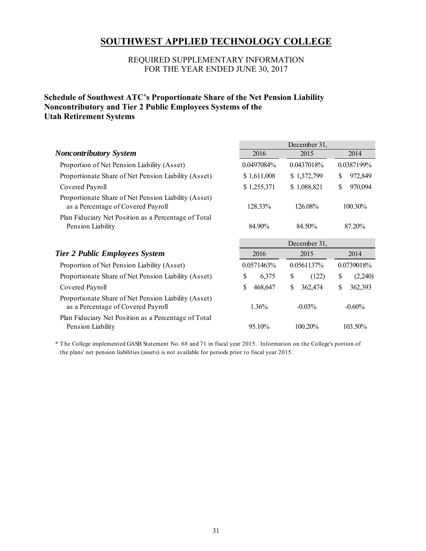#### REQUIRED SUPPLEMENTARY INFORMATION FOR THE YEAR ENDED JUNE 30, 2017

#### **Schedule of Southwest ATC's Proportionate Share of the Net Pension Liability Noncontributory and Tier 2 Public Employees Systems of the Utah Retirement Systems**

|                                                                                            | December 31,         |                          |               |  |  |  |  |  |
|--------------------------------------------------------------------------------------------|----------------------|--------------------------|---------------|--|--|--|--|--|
| <b>Noncontributory System</b>                                                              | 2016                 | 2015                     | 2014          |  |  |  |  |  |
| Proportion of Net Pension Liability (Asset)                                                | 0.0497084%           | 0.0437018%               | 0.0387199%    |  |  |  |  |  |
| Proportionate Share of Net Pension Liability (Asset)                                       | \$1,611,008          | \$1,372,799              | \$<br>972,849 |  |  |  |  |  |
| Covered Payroll                                                                            | \$1,255,371          | \$1,088,821              | \$<br>970,094 |  |  |  |  |  |
| Proportionate Share of Net Pension Liability (Asset)<br>as a Percentage of Covered Payroll | 128.33%              | 126.08%                  | 100.30%       |  |  |  |  |  |
| Plan Fiduciary Net Position as a Percentage of Total<br>Pension Liability                  | 84.90%               | 84.50%<br>87.20%         |               |  |  |  |  |  |
|                                                                                            | December 31,         |                          |               |  |  |  |  |  |
| <b>Tier 2 Public Employees System</b>                                                      | 2016                 | 2015                     | 2014          |  |  |  |  |  |
| Proportion of Net Pension Liability (Asset)                                                | 0.0571463%           | 0.0739018%<br>0.0561137% |               |  |  |  |  |  |
| Proportionate Share of Net Pension Liability (Asset)                                       | \$<br>6,375          | \$<br>(122)              | \$<br>(2,240) |  |  |  |  |  |
| Covered Payroll                                                                            | \$<br>468,647        | \$<br>362,474            | \$<br>362,393 |  |  |  |  |  |
| Proportionate Share of Net Pension Liability (Asset)<br>as a Percentage of Covered Payroll | 1.36%                | $-0.03\%$                | $-0.60\%$     |  |  |  |  |  |
| Plan Fiduciary Net Position as a Percentage of Total<br>Pension Liability                  | 95.10%<br>$100.20\%$ |                          | 103.50%       |  |  |  |  |  |

\* The College implemented GASB Statement No. 68 and 71 in fiscal year 2015. Information on the College's portion of the plans' net pension liabilities (assets) is not available for periods prior to fiscal year 2015.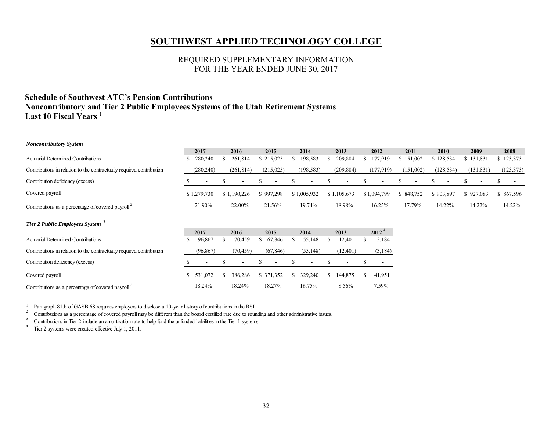#### REQUIRED SUPPLEMENTARY INFORMATION FOR THE YEAR ENDED JUNE 30, 2017

#### **Schedule of Southwest ATC's Pension Contributions Noncontributory and Tier 2 Public Employees Systems of the Utah Retirement Systems Last 10 Fiscal Years** <sup>1</sup>

| <b>Noncontributory System</b>                                        |              |                          |                          |    |                          |    |                          |   |                          |                   |             |           |            |            |             |
|----------------------------------------------------------------------|--------------|--------------------------|--------------------------|----|--------------------------|----|--------------------------|---|--------------------------|-------------------|-------------|-----------|------------|------------|-------------|
|                                                                      | 2017         |                          | 2016                     |    | 2015                     |    | 2014                     |   | 2013                     |                   | 2012        | 2011      | 2010       | 2009       | 2008        |
| <b>Actuarial Determined Contributions</b>                            | 280,240      |                          | 261,814                  |    | \$215,025                |    | 198,583                  |   | 209,884                  |                   | 177,919     | \$151,002 | \$128,534  | \$131,831  | \$123,373   |
| Contributions in relation to the contractually required contribution | (280, 240)   |                          | (261, 814)               |    | (215,025)                |    | (198, 583)               |   | (209, 884)               |                   | (177,919)   | (151,002) | (128, 534) | (131, 831) | (123, 373)  |
| Contribution deficiency (excess)                                     |              |                          |                          | S  |                          | Ъ  |                          |   | $\overline{\phantom{a}}$ |                   |             | N,        | ъ          | ъ          | $\sim$<br>ъ |
| Covered payroll                                                      | \$1,279,730  |                          | \$1,190,226              |    | \$997,298                |    | \$1,005,932              |   | \$1,105,673              |                   | \$1,094,799 | \$848,752 | \$903,897  | \$927,083  | \$867,596   |
| Contributions as a percentage of covered payroll <sup>2</sup>        | 21.90%       |                          | 22.00%                   |    | 21.56%                   |    | 19.74%                   |   | 18.98%                   |                   | 16.25%      | 17.79%    | 14.22%     | 14.22%     | 14.22%      |
| Tier 2 Public Employees System <sup>3</sup>                          |              |                          |                          |    |                          |    |                          |   |                          |                   |             |           |            |            |             |
|                                                                      | 2017         |                          | 2016                     |    | 2015                     |    | 2014                     |   | 2013                     | 2012 <sup>4</sup> |             |           |            |            |             |
| <b>Actuarial Determined Contributions</b>                            | 96,867       |                          | 70,459                   | \$ | 67,846                   |    | 55,148                   |   | 12,401                   |                   | 3,184       |           |            |            |             |
| Contributions in relation to the contractually required contribution |              | (96, 867)                | (70, 459)                |    | (67, 846)                |    | (55, 148)                |   | (12, 401)                |                   | (3,184)     |           |            |            |             |
| Contribution deficiency (excess)                                     |              | $\overline{\phantom{a}}$ | $\overline{\phantom{a}}$ | S  | $\overline{\phantom{a}}$ | ъ  | $\overline{\phantom{a}}$ |   | $\overline{\phantom{a}}$ |                   |             |           |            |            |             |
| Covered payroll                                                      | 531,072<br>S |                          | 386,286                  |    | \$ 371,352               | S. | 329,240                  | Ъ | 144,875                  | S.                | 41,951      |           |            |            |             |

<sup>1</sup> Paragraph 81.b of GASB 68 requires employers to disclose a 10-year history of contributions in the RSI.

<sup>2</sup> Contributions as a percentage of covered payroll may be different than the board certified rate due to rounding and other administrative issues.

Contributions as a percentage of covered payroll<sup>2</sup> 18.24% 18.24% 18.27% 16.75% 8.56% 7.59%

3Contributions in Tier 2 include an amortization rate to help fund the unfunded liabilities in the Tier 1 systems.<br> $\frac{4}{1}$  Tier 2 systems were created effective link 1 2011

Tier 2 systems were created effective July 1, 2011.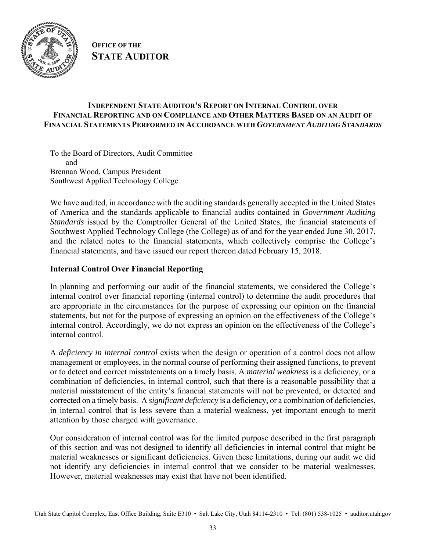

**OFFICE OF THE STATE AUDITOR**

#### **INDEPENDENT STATE AUDITOR'S REPORT ON INTERNAL CONTROL OVER FINANCIAL REPORTING AND ON COMPLIANCE AND OTHER MATTERS BASED ON AN AUDIT OF FINANCIAL STATEMENTS PERFORMED IN ACCORDANCE WITH** *GOVERNMENT AUDITING STANDARDS*

To the Board of Directors, Audit Committee and Brennan Wood, Campus President Southwest Applied Technology College

We have audited, in accordance with the auditing standards generally accepted in the United States of America and the standards applicable to financial audits contained in *Government Auditing Standards* issued by the Comptroller General of the United States, the financial statements of Southwest Applied Technology College (the College) as of and for the year ended June 30, 2017, and the related notes to the financial statements, which collectively comprise the College's financial statements, and have issued our report thereon dated February 15, 2018.

#### **Internal Control Over Financial Reporting**

In planning and performing our audit of the financial statements, we considered the College's internal control over financial reporting (internal control) to determine the audit procedures that are appropriate in the circumstances for the purpose of expressing our opinion on the financial statements, but not for the purpose of expressing an opinion on the effectiveness of the College's internal control. Accordingly, we do not express an opinion on the effectiveness of the College's internal control.

A *deficiency in internal control* exists when the design or operation of a control does not allow management or employees, in the normal course of performing their assigned functions, to prevent or to detect and correct misstatements on a timely basis. A *material weakness* is a deficiency, or a combination of deficiencies, in internal control, such that there is a reasonable possibility that a material misstatement of the entity's financial statements will not be prevented, or detected and corrected on a timely basis. A *significant deficiency* is a deficiency, or a combination of deficiencies, in internal control that is less severe than a material weakness, yet important enough to merit attention by those charged with governance.

Our consideration of internal control was for the limited purpose described in the first paragraph of this section and was not designed to identify all deficiencies in internal control that might be material weaknesses or significant deficiencies. Given these limitations, during our audit we did not identify any deficiencies in internal control that we consider to be material weaknesses. However, material weaknesses may exist that have not been identified.

Utah State Capitol Complex, East Office Building, Suite E310 • Salt Lake City, Utah 84114-2310 • Tel: (801) 538-1025 • auditor.utah.gov